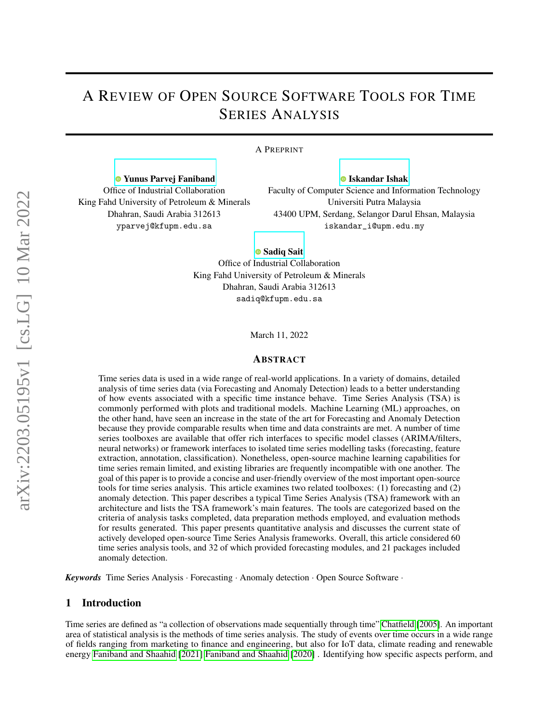# A REVIEW OF OPEN SOURCE SOFTWARE TOOLS FOR TIME SERIES ANALYSIS

#### A PREPRINT

[Yunus Parvej Faniband](https://orcid.org/0000-0002-3584-8533) Office of Industrial Collaboration King Fahd University of Petroleum & Minerals Dhahran, Saudi Arabia 312613 yparvej@kfupm.edu.sa

**O** [Iskandar Ishak](https://orcid.org/0000-0001-8874-1417) Faculty of Computer Science and Information Technology Universiti Putra Malaysia 43400 UPM, Serdang, Selangor Darul Ehsan, Malaysia iskandar\_i@upm.edu.my

**[Sadiq Sait](https://orcid.org/0000-0002-4796-0581)** Office of Industrial Collaboration King Fahd University of Petroleum & Minerals

> Dhahran, Saudi Arabia 312613 sadiq@kfupm.edu.sa

> > March 11, 2022

#### ABSTRACT

Time series data is used in a wide range of real-world applications. In a variety of domains, detailed analysis of time series data (via Forecasting and Anomaly Detection) leads to a better understanding of how events associated with a specific time instance behave. Time Series Analysis (TSA) is commonly performed with plots and traditional models. Machine Learning (ML) approaches, on the other hand, have seen an increase in the state of the art for Forecasting and Anomaly Detection because they provide comparable results when time and data constraints are met. A number of time series toolboxes are available that offer rich interfaces to specific model classes (ARIMA/filters, neural networks) or framework interfaces to isolated time series modelling tasks (forecasting, feature extraction, annotation, classification). Nonetheless, open-source machine learning capabilities for time series remain limited, and existing libraries are frequently incompatible with one another. The goal of this paper is to provide a concise and user-friendly overview of the most important open-source tools for time series analysis. This article examines two related toolboxes: (1) forecasting and (2) anomaly detection. This paper describes a typical Time Series Analysis (TSA) framework with an architecture and lists the TSA framework's main features. The tools are categorized based on the criteria of analysis tasks completed, data preparation methods employed, and evaluation methods for results generated. This paper presents quantitative analysis and discusses the current state of actively developed open-source Time Series Analysis frameworks. Overall, this article considered 60 time series analysis tools, and 32 of which provided forecasting modules, and 21 packages included anomaly detection.

*Keywords* Time Series Analysis · Forecasting · Anomaly detection · Open Source Software ·

# 1 Introduction

Time series are defined as "a collection of observations made sequentially through time" [Chatfield](#page-12-0) [\[2005\]](#page-12-0). An important area of statistical analysis is the methods of time series analysis. The study of events over time occurs in a wide range of fields ranging from marketing to finance and engineering, but also for IoT data, climate reading and renewable energy [Faniband and Shaahid](#page-12-1) [\[2021\]](#page-12-1) [Faniband and Shaahid](#page-12-2) [\[2020\]](#page-12-2) . Identifying how specific aspects perform, and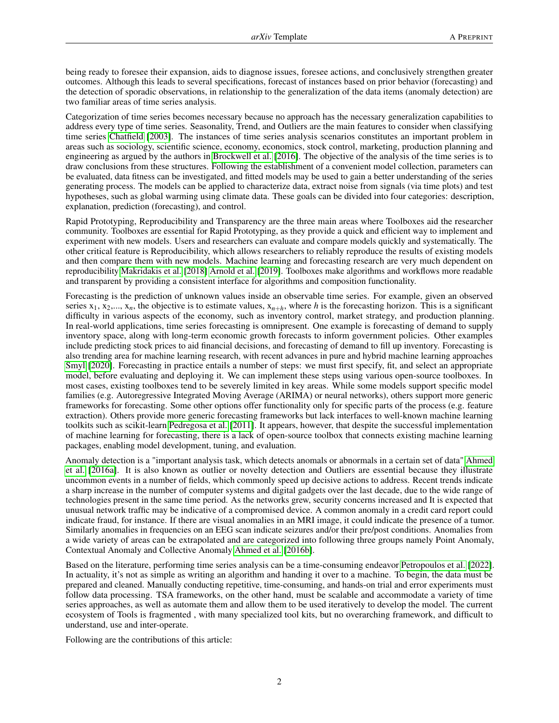being ready to foresee their expansion, aids to diagnose issues, foresee actions, and conclusively strengthen greater outcomes. Although this leads to several specifications, forecast of instances based on prior behavior (forecasting) and the detection of sporadic observations, in relationship to the generalization of the data items (anomaly detection) are two familiar areas of time series analysis.

Categorization of time series becomes necessary because no approach has the necessary generalization capabilities to address every type of time series. Seasonality, Trend, and Outliers are the main features to consider when classifying time series [Chatfield](#page-12-3) [\[2003\]](#page-12-3). The instances of time series analysis scenarios constitutes an important problem in areas such as sociology, scientific science, economy, economics, stock control, marketing, production planning and engineering as argued by the authors in [Brockwell et al.](#page-12-4) [\[2016\]](#page-12-4). The objective of the analysis of the time series is to draw conclusions from these structures. Following the establishment of a convenient model collection, parameters can be evaluated, data fitness can be investigated, and fitted models may be used to gain a better understanding of the series generating process. The models can be applied to characterize data, extract noise from signals (via time plots) and test hypotheses, such as global warming using climate data. These goals can be divided into four categories: description, explanation, prediction (forecasting), and control.

Rapid Prototyping, Reproducibility and Transparency are the three main areas where Toolboxes aid the researcher community. Toolboxes are essential for Rapid Prototyping, as they provide a quick and efficient way to implement and experiment with new models. Users and researchers can evaluate and compare models quickly and systematically. The other critical feature is Reproducibility, which allows researchers to reliably reproduce the results of existing models and then compare them with new models. Machine learning and forecasting research are very much dependent on reproducibility [Makridakis et al.](#page-12-5) [\[2018\]](#page-12-5) [Arnold et al.](#page-12-6) [\[2019\]](#page-12-6). Toolboxes make algorithms and workflows more readable and transparent by providing a consistent interface for algorithms and composition functionality.

Forecasting is the prediction of unknown values inside an observable time series. For example, given an observed series  $x_1, x_2, \ldots, x_n$ , the objective is to estimate values,  $x_{n+h}$ , where *h* is the forecasting horizon. This is a significant difficulty in various aspects of the economy, such as inventory control, market strategy, and production planning. In real-world applications, time series forecasting is omnipresent. One example is forecasting of demand to supply inventory space, along with long-term economic growth forecasts to inform government policies. Other examples include predicting stock prices to aid financial decisions, and forecasting of demand to fill up inventory. Forecasting is also trending area for machine learning research, with recent advances in pure and hybrid machine learning approaches [Smyl](#page-12-7) [\[2020\]](#page-12-7). Forecasting in practice entails a number of steps: we must first specify, fit, and select an appropriate model, before evaluating and deploying it. We can implement these steps using various open-source toolboxes. In most cases, existing toolboxes tend to be severely limited in key areas. While some models support specific model families (e.g. Autoregressive Integrated Moving Average (ARIMA) or neural networks), others support more generic frameworks for forecasting. Some other options offer functionality only for specific parts of the process (e.g. feature extraction). Others provide more generic forecasting frameworks but lack interfaces to well-known machine learning toolkits such as scikit-learn [Pedregosa et al.](#page-12-8) [\[2011\]](#page-12-8). It appears, however, that despite the successful implementation of machine learning for forecasting, there is a lack of open-source toolbox that connects existing machine learning packages, enabling model development, tuning, and evaluation.

Anomaly detection is a "important analysis task, which detects anomals or abnormals in a certain set of data" [Ahmed](#page-12-9) [et al.](#page-12-9) [\[2016a\]](#page-12-9). It is also known as outlier or novelty detection and Outliers are essential because they illustrate uncommon events in a number of fields, which commonly speed up decisive actions to address. Recent trends indicate a sharp increase in the number of computer systems and digital gadgets over the last decade, due to the wide range of technologies present in the same time period. As the networks grew, security concerns increased and It is expected that unusual network traffic may be indicative of a compromised device. A common anomaly in a credit card report could indicate fraud, for instance. If there are visual anomalies in an MRI image, it could indicate the presence of a tumor. Similarly anomalies in frequencies on an EEG scan indicate seizures and/or their pre/post conditions. Anomalies from a wide variety of areas can be extrapolated and are categorized into following three groups namely Point Anomaly, Contextual Anomaly and Collective Anomaly [Ahmed et al.](#page-12-10) [\[2016b\]](#page-12-10).

Based on the literature, performing time series analysis can be a time-consuming endeavor [Petropoulos et al.](#page-12-11) [\[2022\]](#page-12-11). In actuality, it's not as simple as writing an algorithm and handing it over to a machine. To begin, the data must be prepared and cleaned. Manually conducting repetitive, time-consuming, and hands-on trial and error experiments must follow data processing. TSA frameworks, on the other hand, must be scalable and accommodate a variety of time series approaches, as well as automate them and allow them to be used iteratively to develop the model. The current ecosystem of Tools is fragmented , with many specialized tool kits, but no overarching framework, and difficult to understand, use and inter-operate.

Following are the contributions of this article: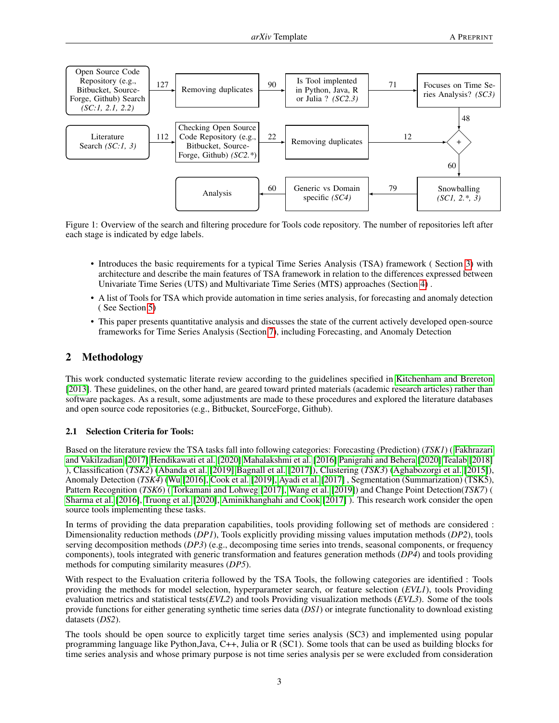

Figure 1: Overview of the search and filtering procedure for Tools code repository. The number of repositories left after each stage is indicated by edge labels.

- Introduces the basic requirements for a typical Time Series Analysis (TSA) framework ( Section [3\)](#page-3-0) with architecture and describe the main features of TSA framework in relation to the differences expressed between Univariate Time Series (UTS) and Multivariate Time Series (MTS) approaches (Section [4\)](#page-4-0) .
- A list of Tools for TSA which provide automation in time series analysis, for forecasting and anomaly detection ( See Section [5\)](#page-5-0)
- This paper presents quantitative analysis and discusses the state of the current actively developed open-source frameworks for Time Series Analysis (Section [7\)](#page-9-0), including Forecasting, and Anomaly Detection

# 2 Methodology

This work conducted systematic literate review according to the guidelines specified in [Kitchenham and Brereton](#page-12-12) [\[2013\]](#page-12-12). These guidelines, on the other hand, are geared toward printed materials (academic research articles) rather than software packages. As a result, some adjustments are made to these procedures and explored the literature databases and open source code repositories (e.g., Bitbucket, SourceForge, Github).

### 2.1 Selection Criteria for Tools:

Based on the literature review the TSA tasks fall into following categories: Forecasting (Prediction) (*TSK1*) ( [Fakhrazari](#page-12-13) [and Vakilzadian](#page-12-13) [\[2017\]](#page-12-13) [Hendikawati et al.](#page-13-0) [\[2020\]](#page-13-0) [Mahalakshmi et al.](#page-13-1) [\[2016\]](#page-13-1) [Panigrahi and Behera](#page-13-2) [\[2020\]](#page-13-2) [Tealab](#page-13-3) [\[2018\]](#page-13-3) ), Classification (*TSK2*) [\(Abanda et al.](#page-13-4) [\[2019\]](#page-13-4) [Bagnall et al.](#page-13-5) [\[2017\]](#page-13-5)), Clustering (*TSK3*) [\(Aghabozorgi et al.](#page-13-6) [\[2015\]](#page-13-6)), Anomaly Detection (*TSK4*) [\(Wu](#page-13-7) [\[2016\]](#page-13-7), [Cook et al.](#page-13-8) [\[2019\]](#page-13-8), [Ayadi et al.](#page-13-9) [\[2017\]](#page-13-9), Segmentation (Summarization) (TSK5), Pattern Recognition (*TSK6*) ( [Torkamani and Lohweg](#page-13-10) [\[2017\]](#page-13-10), [Wang et al.](#page-13-11) [\[2019\]](#page-13-11)) and Change Point Detection(*TSK7*) ( [Sharma et al.](#page-13-12) [\[2016\]](#page-13-12), [Truong et al.](#page-13-13) [\[2020\]](#page-13-13), [Aminikhanghahi and Cook](#page-13-14) [\[2017\]](#page-13-14) ). This research work consider the open source tools implementing these tasks.

In terms of providing the data preparation capabilities, tools providing following set of methods are considered : Dimensionality reduction methods (*DP1*), Tools explicitly providing missing values imputation methods (*DP2*), tools serving decomposition methods (*DP3*) (e.g., decomposing time series into trends, seasonal components, or frequency components), tools integrated with generic transformation and features generation methods (*DP4*) and tools providing methods for computing similarity measures (*DP5*).

With respect to the Evaluation criteria followed by the TSA Tools, the following categories are identified : Tools providing the methods for model selection, hyperparameter search, or feature selection (*EVL1*), tools Providing evaluation metrics and statistical tests(*EVL2*) and tools Providing visualization methods (*EVL3*). Some of the tools provide functions for either generating synthetic time series data (*DS1*) or integrate functionality to download existing datasets (*DS2*).

The tools should be open source to explicitly target time series analysis (SC3) and implemented using popular programming language like Python,Java, C++, Julia or R (SC1). Some tools that can be used as building blocks for time series analysis and whose primary purpose is not time series analysis per se were excluded from consideration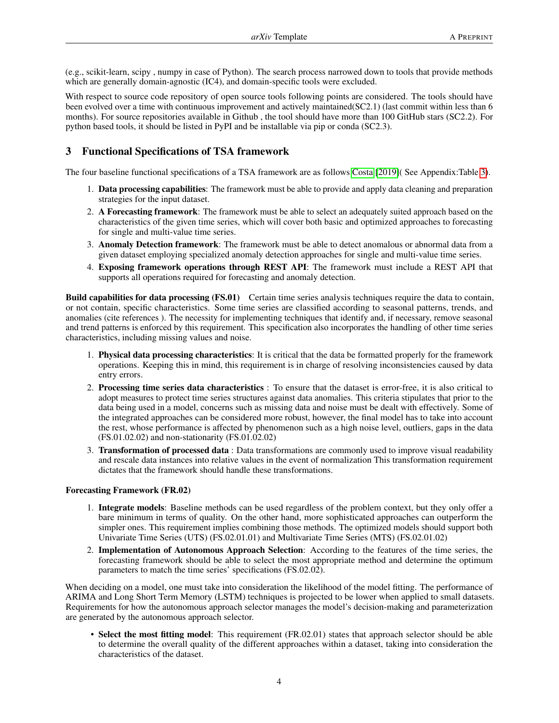(e.g., scikit-learn, scipy , numpy in case of Python). The search process narrowed down to tools that provide methods which are generally domain-agnostic (IC4), and domain-specific tools were excluded.

With respect to source code repository of open source tools following points are considered. The tools should have been evolved over a time with continuous improvement and actively maintained(SC2.1) (last commit within less than 6 months). For source repositories available in Github , the tool should have more than 100 GitHub stars (SC2.2). For python based tools, it should be listed in PyPI and be installable via pip or conda (SC2.3).

# <span id="page-3-0"></span>3 Functional Specifications of TSA framework

The four baseline functional specifications of a TSA framework are as follows [Costa](#page-13-15) [\[2019\]](#page-13-15)( See Appendix:Table [3\)](#page-17-0).

- 1. Data processing capabilities: The framework must be able to provide and apply data cleaning and preparation strategies for the input dataset.
- 2. A Forecasting framework: The framework must be able to select an adequately suited approach based on the characteristics of the given time series, which will cover both basic and optimized approaches to forecasting for single and multi-value time series.
- 3. Anomaly Detection framework: The framework must be able to detect anomalous or abnormal data from a given dataset employing specialized anomaly detection approaches for single and multi-value time series.
- 4. Exposing framework operations through REST API: The framework must include a REST API that supports all operations required for forecasting and anomaly detection.

Build capabilities for data processing (FS.01) Certain time series analysis techniques require the data to contain, or not contain, specific characteristics. Some time series are classified according to seasonal patterns, trends, and anomalies (cite references ). The necessity for implementing techniques that identify and, if necessary, remove seasonal and trend patterns is enforced by this requirement. This specification also incorporates the handling of other time series characteristics, including missing values and noise.

- 1. Physical data processing characteristics: It is critical that the data be formatted properly for the framework operations. Keeping this in mind, this requirement is in charge of resolving inconsistencies caused by data entry errors.
- 2. Processing time series data characteristics : To ensure that the dataset is error-free, it is also critical to adopt measures to protect time series structures against data anomalies. This criteria stipulates that prior to the data being used in a model, concerns such as missing data and noise must be dealt with effectively. Some of the integrated approaches can be considered more robust, however, the final model has to take into account the rest, whose performance is affected by phenomenon such as a high noise level, outliers, gaps in the data (FS.01.02.02) and non-stationarity (FS.01.02.02)
- 3. Transformation of processed data : Data transformations are commonly used to improve visual readability and rescale data instances into relative values in the event of normalization This transformation requirement dictates that the framework should handle these transformations.

### Forecasting Framework (FR.02)

- 1. Integrate models: Baseline methods can be used regardless of the problem context, but they only offer a bare minimum in terms of quality. On the other hand, more sophisticated approaches can outperform the simpler ones. This requirement implies combining those methods. The optimized models should support both Univariate Time Series (UTS) (FS.02.01.01) and Multivariate Time Series (MTS) (FS.02.01.02)
- 2. Implementation of Autonomous Approach Selection: According to the features of the time series, the forecasting framework should be able to select the most appropriate method and determine the optimum parameters to match the time series' specifications (FS.02.02).

When deciding on a model, one must take into consideration the likelihood of the model fitting. The performance of ARIMA and Long Short Term Memory (LSTM) techniques is projected to be lower when applied to small datasets. Requirements for how the autonomous approach selector manages the model's decision-making and parameterization are generated by the autonomous approach selector.

• Select the most fitting model: This requirement (FR.02.01) states that approach selector should be able to determine the overall quality of the different approaches within a dataset, taking into consideration the characteristics of the dataset.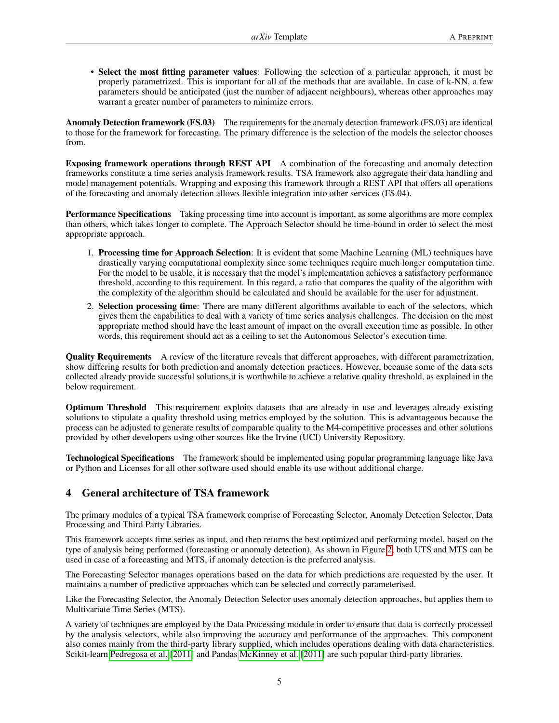• Select the most fitting parameter values: Following the selection of a particular approach, it must be properly parametrized. This is important for all of the methods that are available. In case of k-NN, a few parameters should be anticipated (just the number of adjacent neighbours), whereas other approaches may warrant a greater number of parameters to minimize errors.

Anomaly Detection framework (FS.03) The requirements for the anomaly detection framework (FS.03) are identical to those for the framework for forecasting. The primary difference is the selection of the models the selector chooses from.

Exposing framework operations through REST API A combination of the forecasting and anomaly detection frameworks constitute a time series analysis framework results. TSA framework also aggregate their data handling and model management potentials. Wrapping and exposing this framework through a REST API that offers all operations of the forecasting and anomaly detection allows flexible integration into other services (FS.04).

Performance Specifications Taking processing time into account is important, as some algorithms are more complex than others, which takes longer to complete. The Approach Selector should be time-bound in order to select the most appropriate approach.

- 1. Processing time for Approach Selection: It is evident that some Machine Learning (ML) techniques have drastically varying computational complexity since some techniques require much longer computation time. For the model to be usable, it is necessary that the model's implementation achieves a satisfactory performance threshold, according to this requirement. In this regard, a ratio that compares the quality of the algorithm with the complexity of the algorithm should be calculated and should be available for the user for adjustment.
- 2. Selection processing time: There are many different algorithms available to each of the selectors, which gives them the capabilities to deal with a variety of time series analysis challenges. The decision on the most appropriate method should have the least amount of impact on the overall execution time as possible. In other words, this requirement should act as a ceiling to set the Autonomous Selector's execution time.

Quality Requirements A review of the literature reveals that different approaches, with different parametrization, show differing results for both prediction and anomaly detection practices. However, because some of the data sets collected already provide successful solutions,it is worthwhile to achieve a relative quality threshold, as explained in the below requirement.

Optimum Threshold This requirement exploits datasets that are already in use and leverages already existing solutions to stipulate a quality threshold using metrics employed by the solution. This is advantageous because the process can be adjusted to generate results of comparable quality to the M4-competitive processes and other solutions provided by other developers using other sources like the Irvine (UCI) University Repository.

Technological Specifications The framework should be implemented using popular programming language like Java or Python and Licenses for all other software used should enable its use without additional charge.

# <span id="page-4-0"></span>4 General architecture of TSA framework

The primary modules of a typical TSA framework comprise of Forecasting Selector, Anomaly Detection Selector, Data Processing and Third Party Libraries.

This framework accepts time series as input, and then returns the best optimized and performing model, based on the type of analysis being performed (forecasting or anomaly detection). As shown in Figure [2,](#page-5-1) both UTS and MTS can be used in case of a forecasting and MTS, if anomaly detection is the preferred analysis.

The Forecasting Selector manages operations based on the data for which predictions are requested by the user. It maintains a number of predictive approaches which can be selected and correctly parameterised.

Like the Forecasting Selector, the Anomaly Detection Selector uses anomaly detection approaches, but applies them to Multivariate Time Series (MTS).

A variety of techniques are employed by the Data Processing module in order to ensure that data is correctly processed by the analysis selectors, while also improving the accuracy and performance of the approaches. This component also comes mainly from the third-party library supplied, which includes operations dealing with data characteristics. Scikit-learn [Pedregosa et al.](#page-12-8) [\[2011\]](#page-12-8) and Pandas [McKinney et al.](#page-13-16) [\[2011\]](#page-13-16) are such popular third-party libraries.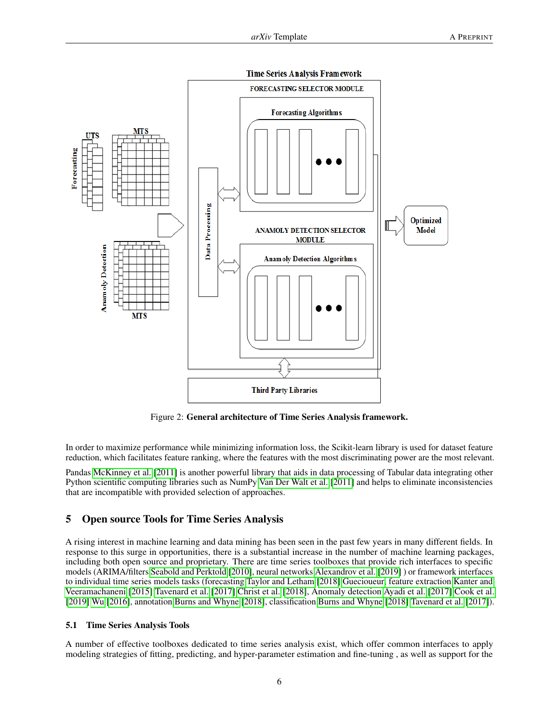

<span id="page-5-1"></span>Figure 2: General architecture of Time Series Analysis framework.

In order to maximize performance while minimizing information loss, the Scikit-learn library is used for dataset feature reduction, which facilitates feature ranking, where the features with the most discriminating power are the most relevant.

Pandas [McKinney et al.](#page-13-16) [\[2011\]](#page-13-16) is another powerful library that aids in data processing of Tabular data integrating other Python scientific computing libraries such as NumPy [Van Der Walt et al.](#page-13-17) [\[2011\]](#page-13-17) and helps to eliminate inconsistencies that are incompatible with provided selection of approaches.

### <span id="page-5-0"></span>5 Open source Tools for Time Series Analysis

A rising interest in machine learning and data mining has been seen in the past few years in many different fields. In response to this surge in opportunities, there is a substantial increase in the number of machine learning packages, including both open source and proprietary. There are time series toolboxes that provide rich interfaces to specific models (ARIMA/filters [Seabold and Perktold](#page-13-18) [\[2010\]](#page-13-18), neural networks [Alexandrov et al.](#page-13-19) [\[2019\]](#page-13-19) ) or framework interfaces to individual time series models tasks (forecasting [Taylor and Letham](#page-13-20) [\[2018\]](#page-13-20) [Guecioueur,](#page-13-21) feature extraction [Kanter and](#page-13-22) [Veeramachaneni](#page-13-22) [\[2015\]](#page-13-22) [Tavenard et al.](#page-13-23) [\[2017\]](#page-13-23) [Christ et al.](#page-14-0) [\[2018\]](#page-14-0), Anomaly detection [Ayadi et al.](#page-13-9) [\[2017\]](#page-13-9) [Cook et al.](#page-13-8) [\[2019\]](#page-13-8) [Wu](#page-13-7) [\[2016\]](#page-13-7), annotation [Burns and Whyne](#page-14-1) [\[2018\]](#page-14-1), classification [Burns and Whyne](#page-14-1) [\[2018\]](#page-14-1) [Tavenard et al.](#page-13-23) [\[2017\]](#page-13-23)).

#### 5.1 Time Series Analysis Tools

A number of effective toolboxes dedicated to time series analysis exist, which offer common interfaces to apply modeling strategies of fitting, predicting, and hyper-parameter estimation and fine-tuning , as well as support for the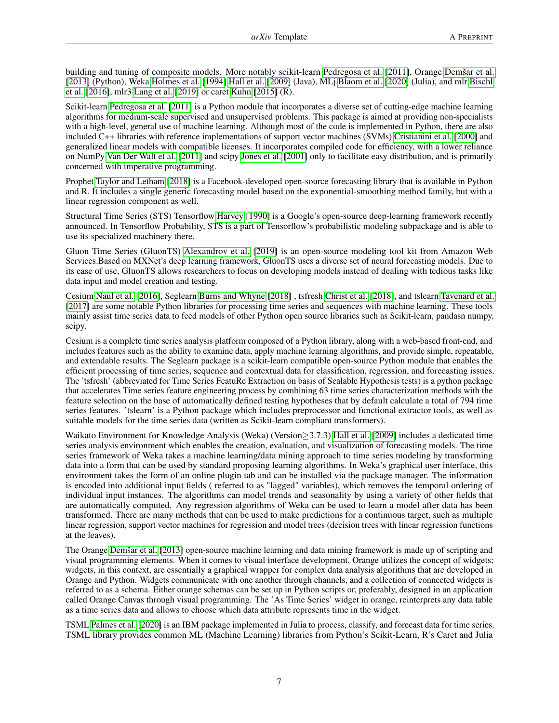building and tuning of composite models. More notably scikit-learn [Pedregosa et al.](#page-12-8) [\[2011\]](#page-12-8), Orange [Demšar et al.](#page-14-2) [\[2013\]](#page-14-2) (Python), Weka [Holmes et al.](#page-14-3) [\[1994\]](#page-14-3) [Hall et al.](#page-14-4) [\[2009\]](#page-14-4) (Java), MLj [Blaom et al.](#page-14-5) [\[2020\]](#page-14-5) (Julia), and mlr [Bischl](#page-14-6) [et al.](#page-14-6) [\[2016\]](#page-14-6), mlr3 [Lang et al.](#page-14-7) [\[2019\]](#page-14-7) or caret [Kuhn](#page-14-8) [\[2015\]](#page-14-8) (R).

Scikit-learn [Pedregosa et al.](#page-12-8) [\[2011\]](#page-12-8) is a Python module that incorporates a diverse set of cutting-edge machine learning algorithms for medium-scale supervised and unsupervised problems. This package is aimed at providing non-specialists with a high-level, general use of machine learning. Although most of the code is implemented in Python, there are also included C++ libraries with reference implementations of support vector machines (SVMs) [Cristianini et al.](#page-14-9) [\[2000\]](#page-14-9) and generalized linear models with compatible licenses. It incorporates compiled code for efficiency, with a lower reliance on NumPy [Van Der Walt et al.](#page-13-17) [\[2011\]](#page-13-17) and scipy [Jones et al.](#page-14-10) [\[2001\]](#page-14-10) only to facilitate easy distribution, and is primarily concerned with imperative programming.

Prophet [Taylor and Letham](#page-13-20) [\[2018\]](#page-13-20) is a Facebook-developed open-source forecasting library that is available in Python and R. It includes a single generic forecasting model based on the exponential-smoothing method family, but with a linear regression component as well.

Structural Time Series (STS) Tensorflow [Harvey](#page-14-11) [\[1990\]](#page-14-11) is a Google's open-source deep-learning framework recently announced. In Tensorflow Probability, STS is a part of Tensorflow's probabilistic modeling subpackage and is able to use its specialized machinery there.

Gluon Time Series (GluonTS) [Alexandrov et al.](#page-13-19) [\[2019\]](#page-13-19) is an open-source modeling tool kit from Amazon Web Services.Based on MXNet's deep learning framework, GluonTS uses a diverse set of neural forecasting models. Due to its ease of use, GluonTS allows researchers to focus on developing models instead of dealing with tedious tasks like data input and model creation and testing.

Cesium [Naul et al.](#page-14-12) [\[2016\]](#page-14-12), Seglearn [Burns and Whyne](#page-14-1) [\[2018\]](#page-14-1) , tsfresh [Christ et al.](#page-14-0) [\[2018\]](#page-14-0), and tslearn [Tavenard et al.](#page-13-23) [\[2017\]](#page-13-23) are some notable Python libraries for processing time series and sequences with machine learning. These tools mainly assist time series data to feed models of other Python open source libraries such as Scikit-learn, pandasn numpy, scipy.

Cesium is a complete time series analysis platform composed of a Python library, along with a web-based front-end, and includes features such as the ability to examine data, apply machine learning algorithms, and provide simple, repeatable, and extendable results. The Seglearn package is a scikit-learn compatible open-source Python module that enables the efficient processing of time series, sequence and contextual data for classification, regression, and forecasting issues. The 'tsfresh' (abbreviated for Time Series FeatuRe Extraction on basis of Scalable Hypothesis tests) is a python package that accelerates Time series feature engineering process by combining 63 time series characterization methods with the feature selection on the base of automatically defined testing hypotheses that by default calculate a total of 794 time series features. 'tslearn' is a Python package which includes preprocessor and functional extractor tools, as well as suitable models for the time series data (written as Scikit-learn compliant transformers).

Waikato Environment for Knowledge Analysis (Weka) (Version≥3.7.3) [Hall et al.](#page-14-4) [\[2009\]](#page-14-4) includes a dedicated time series analysis environment which enables the creation, evaluation, and visualization of forecasting models. The time series framework of Weka takes a machine learning/data mining approach to time series modeling by transforming data into a form that can be used by standard proposing learning algorithms. In Weka's graphical user interface, this environment takes the form of an online plugin tab and can be installed via the package manager. The information is encoded into additional input fields ( referred to as "lagged" variables), which removes the temporal ordering of individual input instances. The algorithms can model trends and seasonality by using a variety of other fields that are automatically computed. Any regression algorithms of Weka can be used to learn a model after data has been transformed. There are many methods that can be used to make predictions for a continuous target, such as multiple linear regression, support vector machines for regression and model trees (decision trees with linear regression functions at the leaves).

The Orange [Demšar et al.](#page-14-2) [\[2013\]](#page-14-2) open-source machine learning and data mining framework is made up of scripting and visual programming elements. When it comes to visual interface development, Orange utilizes the concept of widgets; widgets, in this context, are essentially a graphical wrapper for complex data analysis algorithms that are developed in Orange and Python. Widgets communicate with one another through channels, and a collection of connected widgets is referred to as a schema. Either orange schemas can be set up in Python scripts or, preferably, designed in an application called Orange Canvas through visual programming. The 'As Time Series' widget in orange, reinterprets any data table as a time series data and allows to choose which data attribute represents time in the widget.

TSML [Palmes et al.](#page-14-13) [\[2020\]](#page-14-13) is an IBM package implemented in Julia to process, classify, and forecast data for time series. TSML library provides common ML (Machine Learning) libraries from Python's Scikit-Learn, R's Caret and Julia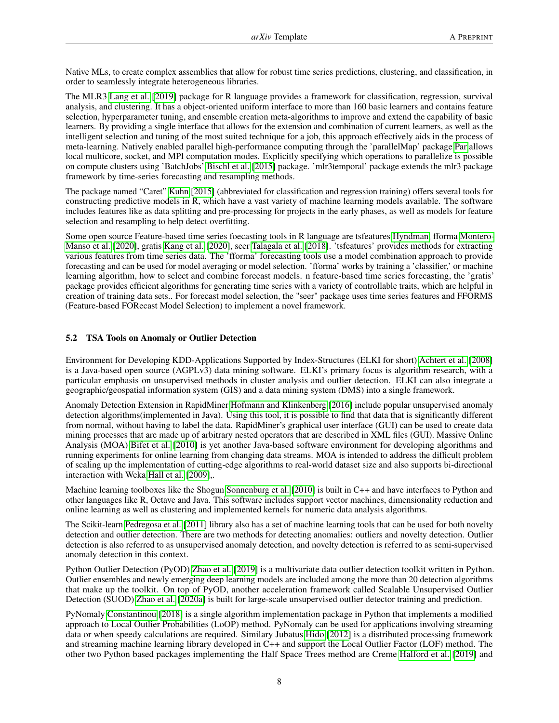Native MLs, to create complex assemblies that allow for robust time series predictions, clustering, and classification, in order to seamlessly integrate heterogeneous libraries.

The MLR3 [Lang et al.](#page-14-7) [\[2019\]](#page-14-7) package for R language provides a framework for classification, regression, survival analysis, and clustering. It has a object-oriented uniform interface to more than 160 basic learners and contains feature selection, hyperparameter tuning, and ensemble creation meta-algorithms to improve and extend the capability of basic learners. By providing a single interface that allows for the extension and combination of current learners, as well as the intelligent selection and tuning of the most suited technique for a job, this approach effectively aids in the process of meta-learning. Natively enabled parallel high-performance computing through the 'parallelMap' package [Par](#page-14-14) allows local multicore, socket, and MPI computation modes. Explicitly specifying which operations to parallelize is possible on compute clusters using 'BatchJobs' [Bischl et al.](#page-14-15) [\[2015\]](#page-14-15) package. 'mlr3temporal' package extends the mlr3 package framework by time-series forecasting and resampling methods.

The package named "Caret" [Kuhn](#page-14-8) [\[2015\]](#page-14-8) (abbreviated for classification and regression training) offers several tools for constructing predictive models in R, which have a vast variety of machine learning models available. The software includes features like as data splitting and pre-processing for projects in the early phases, as well as models for feature selection and resampling to help detect overfitting.

Some open source Feature-based time series foecasting tools in R language are tsfeatures [Hyndman,](#page-14-16) fforma [Montero-](#page-14-17)[Manso et al.](#page-14-17) [\[2020\]](#page-14-17), gratis [Kang et al.](#page-14-18) [\[2020\]](#page-14-18), seer [Talagala et al.](#page-14-19) [\[2018\]](#page-14-19). 'tsfeatures' provides methods for extracting various features from time series data. The 'fforma' forecasting tools use a model combination approach to provide forecasting and can be used for model averaging or model selection. 'fforma' works by training a 'classifier,' or machine learning algorithm, how to select and combine forecast models. n feature-based time series forecasting, the 'gratis' package provides efficient algorithms for generating time series with a variety of controllable traits, which are helpful in creation of training data sets.. For forecast model selection, the "seer" package uses time series features and FFORMS (Feature-based FORecast Model Selection) to implement a novel framework.

### 5.2 TSA Tools on Anomaly or Outlier Detection

Environment for Developing KDD-Applications Supported by Index-Structures (ELKI for short) [Achtert et al.](#page-14-20) [\[2008\]](#page-14-20) is a Java-based open source (AGPLv3) data mining software. ELKI's primary focus is algorithm research, with a particular emphasis on unsupervised methods in cluster analysis and outlier detection. ELKI can also integrate a geographic/geospatial information system (GIS) and a data mining system (DMS) into a single framework.

Anomaly Detection Extension in RapidMiner [Hofmann and Klinkenberg](#page-14-21) [\[2016\]](#page-14-21) include popular unsupervised anomaly detection algorithms(implemented in Java). Using this tool, it is possible to find that data that is significantly different from normal, without having to label the data. RapidMiner's graphical user interface (GUI) can be used to create data mining processes that are made up of arbitrary nested operators that are described in XML files (GUI). Massive Online Analysis (MOA) [Bifet et al.](#page-14-22) [\[2010\]](#page-14-22) is yet another Java-based software environment for developing algorithms and running experiments for online learning from changing data streams. MOA is intended to address the difficult problem of scaling up the implementation of cutting-edge algorithms to real-world dataset size and also supports bi-directional interaction with Weka [Hall et al.](#page-14-4) [\[2009\]](#page-14-4),.

Machine learning toolboxes like the Shogun [Sonnenburg et al.](#page-14-23) [\[2010\]](#page-14-23) is built in C++ and have interfaces to Python and other languages like R, Octave and Java. This software includes support vector machines, dimensionality reduction and online learning as well as clustering and implemented kernels for numeric data analysis algorithms.

The Scikit-learn [Pedregosa et al.](#page-12-8) [\[2011\]](#page-12-8) library also has a set of machine learning tools that can be used for both novelty detection and outlier detection. There are two methods for detecting anomalies: outliers and novelty detection. Outlier detection is also referred to as unsupervised anomaly detection, and novelty detection is referred to as semi-supervised anomaly detection in this context.

Python Outlier Detection (PyOD) [Zhao et al.](#page-15-0) [\[2019\]](#page-15-0) is a multivariate data outlier detection toolkit written in Python. Outlier ensembles and newly emerging deep learning models are included among the more than 20 detection algorithms that make up the toolkit. On top of PyOD, another acceleration framework called Scalable Unsupervised Outlier Detection (SUOD) [Zhao et al.](#page-15-1) [\[2020a\]](#page-15-1) is built for large-scale unsupervised outlier detector training and prediction.

PyNomaly [Constantinou](#page-15-2) [\[2018\]](#page-15-2) is a single algorithm implementation package in Python that implements a modified approach to Local Outlier Probabilities (LoOP) method. PyNomaly can be used for applications involving streaming data or when speedy calculations are required. Similary Jubatus [Hido](#page-15-3) [\[2012\]](#page-15-3) is a distributed processing framework and streaming machine learning library developed in C++ and support the Local Outlier Factor (LOF) method. The other two Python based packages implementing the Half Space Trees method are Creme [Halford et al.](#page-15-4) [\[2019\]](#page-15-4) and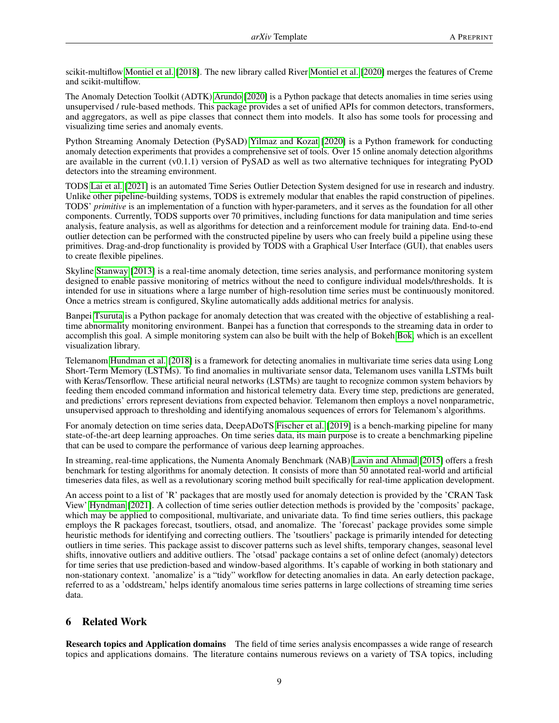scikit-multiflow [Montiel et al.](#page-15-5) [\[2018\]](#page-15-5). The new library called River [Montiel et al.](#page-15-6) [\[2020\]](#page-15-6) merges the features of Creme and scikit-multiflow.

The Anomaly Detection Toolkit (ADTK) [Arundo](#page-15-7) [\[2020\]](#page-15-7) is a Python package that detects anomalies in time series using unsupervised / rule-based methods. This package provides a set of unified APIs for common detectors, transformers, and aggregators, as well as pipe classes that connect them into models. It also has some tools for processing and visualizing time series and anomaly events.

Python Streaming Anomaly Detection (PySAD) [Yilmaz and Kozat](#page-15-8) [\[2020\]](#page-15-8) is a Python framework for conducting anomaly detection experiments that provides a comprehensive set of tools. Over 15 online anomaly detection algorithms are available in the current  $(v0.1.1)$  version of PySAD as well as two alternative techniques for integrating PyOD detectors into the streaming environment.

TODS [Lai et al.](#page-15-9) [\[2021\]](#page-15-9) is an automated Time Series Outlier Detection System designed for use in research and industry. Unlike other pipeline-building systems, TODS is extremely modular that enables the rapid construction of pipelines. TODS' *primitive* is an implementation of a function with hyper-parameters, and it serves as the foundation for all other components. Currently, TODS supports over 70 primitives, including functions for data manipulation and time series analysis, feature analysis, as well as algorithms for detection and a reinforcement module for training data. End-to-end outlier detection can be performed with the constructed pipeline by users who can freely build a pipeline using these primitives. Drag-and-drop functionality is provided by TODS with a Graphical User Interface (GUI), that enables users to create flexible pipelines.

Skyline [Stanway](#page-15-10) [\[2013\]](#page-15-10) is a real-time anomaly detection, time series analysis, and performance monitoring system designed to enable passive monitoring of metrics without the need to configure individual models/thresholds. It is intended for use in situations where a large number of high-resolution time series must be continuously monitored. Once a metrics stream is configured, Skyline automatically adds additional metrics for analysis.

Banpei [Tsuruta](#page-15-11) is a Python package for anomaly detection that was created with the objective of establishing a realtime abnormality monitoring environment. Banpei has a function that corresponds to the streaming data in order to accomplish this goal. A simple monitoring system can also be built with the help of Bokeh [Bok,](#page-15-12) which is an excellent visualization library.

Telemanom [Hundman et al.](#page-15-13) [\[2018\]](#page-15-13) is a framework for detecting anomalies in multivariate time series data using Long Short-Term Memory (LSTMs). To find anomalies in multivariate sensor data, Telemanom uses vanilla LSTMs built with Keras/Tensorflow. These artificial neural networks (LSTMs) are taught to recognize common system behaviors by feeding them encoded command information and historical telemetry data. Every time step, predictions are generated, and predictions' errors represent deviations from expected behavior. Telemanom then employs a novel nonparametric, unsupervised approach to thresholding and identifying anomalous sequences of errors for Telemanom's algorithms.

For anomaly detection on time series data, DeepADoTS [Fischer et al.](#page-15-14) [\[2019\]](#page-15-14) is a bench-marking pipeline for many state-of-the-art deep learning approaches. On time series data, its main purpose is to create a benchmarking pipeline that can be used to compare the performance of various deep learning approaches.

In streaming, real-time applications, the Numenta Anomaly Benchmark (NAB) [Lavin and Ahmad](#page-15-15) [\[2015\]](#page-15-15) offers a fresh benchmark for testing algorithms for anomaly detection. It consists of more than 50 annotated real-world and artificial timeseries data files, as well as a revolutionary scoring method built specifically for real-time application development.

An access point to a list of 'R' packages that are mostly used for anomaly detection is provided by the 'CRAN Task View' [Hyndman](#page-15-16) [\[2021\]](#page-15-16). A collection of time series outlier detection methods is provided by the 'composits' package, which may be applied to compositional, multivariate, and univariate data. To find time series outliers, this package employs the R packages forecast, tsoutliers, otsad, and anomalize. The 'forecast' package provides some simple heuristic methods for identifying and correcting outliers. The 'tsoutliers' package is primarily intended for detecting outliers in time series. This package assist to discover patterns such as level shifts, temporary changes, seasonal level shifts, innovative outliers and additive outliers. The 'otsad' package contains a set of online defect (anomaly) detectors for time series that use prediction-based and window-based algorithms. It's capable of working in both stationary and non-stationary context. 'anomalize' is a "tidy" workflow for detecting anomalies in data. An early detection package, referred to as a 'oddstream,' helps identify anomalous time series patterns in large collections of streaming time series data.

# 6 Related Work

Research topics and Application domains The field of time series analysis encompasses a wide range of research topics and applications domains. The literature contains numerous reviews on a variety of TSA topics, including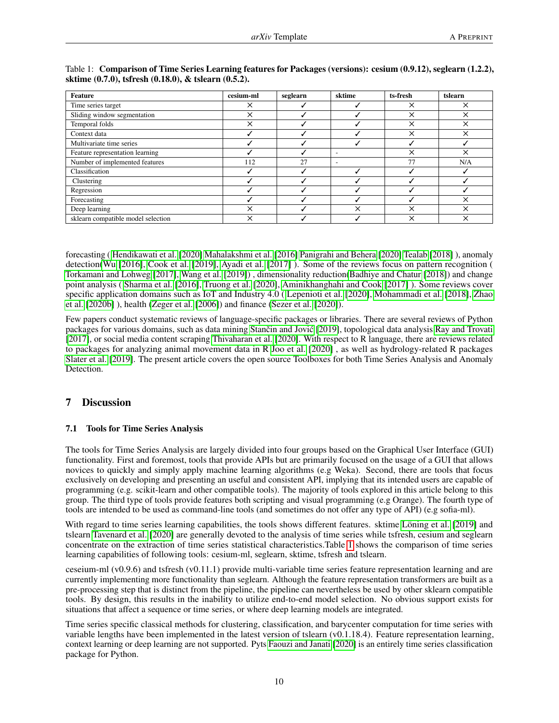| Feature                            | cesium-ml | seglearn | sktime                   | ts-fresh | tslearn  |
|------------------------------------|-----------|----------|--------------------------|----------|----------|
| Time series target                 | ×         |          |                          | $\times$ | ×        |
| Sliding window segmentation        | $\times$  |          |                          | $\times$ | ×        |
| Temporal folds                     | $\times$  |          |                          | ×        | X        |
| Context data                       |           |          |                          | $\times$ | ×        |
| Multivariate time series           |           |          |                          |          |          |
| Feature representation learning    |           |          | $\overline{\phantom{a}}$ | ×        | ×        |
| Number of implemented features     | 112       | 27       | $\overline{\phantom{0}}$ | 77       | N/A      |
| Classification                     |           |          |                          |          |          |
| Clustering                         |           |          |                          |          |          |
| Regression                         |           |          |                          |          |          |
| Forecasting                        |           |          |                          |          | $\times$ |
| Deep learning                      | $\times$  |          | $\check{ }$              | $\times$ | ×        |
| sklearn compatible model selection | $\times$  |          |                          | ×        | ×        |

<span id="page-9-1"></span>

| Table 1: Comparison of Time Series Learning features for Packages (versions): cesium (0.9.12), seglearn (1.2.2), |  |
|------------------------------------------------------------------------------------------------------------------|--|
| sktime (0.7.0), tsfresh (0.18.0), & tslearn (0.5.2).                                                             |  |

forecasting ( [Hendikawati et al.](#page-13-0) [\[2020\]](#page-13-0) [Mahalakshmi et al.](#page-13-1) [\[2016\]](#page-13-1) [Panigrahi and Behera](#page-13-2) [\[2020\]](#page-13-2) [Tealab](#page-13-3) [\[2018\]](#page-13-3) ), anomaly detection[\(Wu](#page-13-7) [\[2016\]](#page-13-7), [Cook et al.](#page-13-8) [\[2019\]](#page-13-8), [Ayadi et al.](#page-13-9) [\[2017\]](#page-13-9) ). Some of the reviews focus on pattern recognition ( [Torkamani and Lohweg](#page-13-10) [\[2017\]](#page-13-10), [Wang et al.](#page-13-11) [\[2019\]](#page-13-11)) , dimensionality reduction[\(Badhiye and Chatur](#page-15-17) [\[2018\]](#page-15-17)) and change point analysis ( [Sharma et al.](#page-13-12) [\[2016\]](#page-13-12), [Truong et al.](#page-13-13) [\[2020\]](#page-13-13), [Aminikhanghahi and Cook](#page-13-14) [\[2017\]](#page-13-14) ). Some reviews cover specific application domains such as IoT and Industry 4.0 ( [Lepenioti et al.](#page-15-18) [\[2020\]](#page-15-18), [Mohammadi et al.](#page-15-19) [\[2018\]](#page-15-19), [Zhao](#page-15-20) [et al.](#page-15-20) [\[2020b\]](#page-15-20) ), health [\(Zeger et al.](#page-15-21) [\[2006\]](#page-15-21)) and finance [\(Sezer et al.](#page-15-22) [\[2020\]](#page-15-22)).

Few papers conduct systematic reviews of language-specific packages or libraries. There are several reviews of Python packages for various domains, such as data mining Stančin and Jović [\[2019\]](#page-16-0), topological data analysis [Ray and Trovati](#page-16-1) [\[2017\]](#page-16-1), or social media content scraping [Thivaharan et al.](#page-16-2) [\[2020\]](#page-16-2). With respect to R language, there are reviews related to packages for analyzing animal movement data in R [Joo et al.](#page-16-3) [\[2020\]](#page-16-3) , as well as hydrology-related R packages [Slater et al.](#page-16-4) [\[2019\]](#page-16-4). The present article covers the open source Toolboxes for both Time Series Analysis and Anomaly Detection.

# <span id="page-9-0"></span>7 Discussion

### 7.1 Tools for Time Series Analysis

The tools for Time Series Analysis are largely divided into four groups based on the Graphical User Interface (GUI) functionality. First and foremost, tools that provide APIs but are primarily focused on the usage of a GUI that allows novices to quickly and simply apply machine learning algorithms (e.g Weka). Second, there are tools that focus exclusively on developing and presenting an useful and consistent API, implying that its intended users are capable of programming (e.g. scikit-learn and other compatible tools). The majority of tools explored in this article belong to this group. The third type of tools provide features both scripting and visual programming (e.g Orange). The fourth type of tools are intended to be used as command-line tools (and sometimes do not offer any type of API) (e.g sofia-ml).

With regard to time series learning capabilities, the tools shows different features. sktime [Löning et al.](#page-16-5) [\[2019\]](#page-16-5) and tslearn [Tavenard et al.](#page-16-6) [\[2020\]](#page-16-6) are generally devoted to the analysis of time series while tsfresh, cesium and seglearn concentrate on the extraction of time series statistical characteristics.Table [1](#page-9-1) shows the comparison of time series learning capabilities of following tools: cesium-ml, seglearn, sktime, tsfresh and tslearn.

ceseium-ml (v0.9.6) and tsfresh (v0.11.1) provide multi-variable time series feature representation learning and are currently implementing more functionality than seglearn. Although the feature representation transformers are built as a pre-processing step that is distinct from the pipeline, the pipeline can nevertheless be used by other sklearn compatible tools. By design, this results in the inability to utilize end-to-end model selection. No obvious support exists for situations that affect a sequence or time series, or where deep learning models are integrated.

Time series specific classical methods for clustering, classification, and barycenter computation for time series with variable lengths have been implemented in the latest version of tslearn (v0.1.18.4). Feature representation learning, context learning or deep learning are not supported. Pyts [Faouzi and Janati](#page-16-7) [\[2020\]](#page-16-7) is an entirely time series classification package for Python.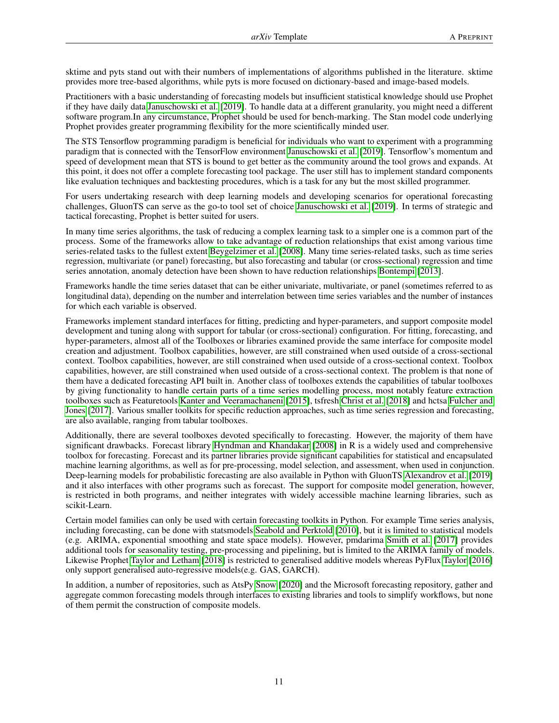sktime and pyts stand out with their numbers of implementations of algorithms published in the literature. sktime provides more tree-based algorithms, while pyts is more focused on dictionary-based and image-based models.

Practitioners with a basic understanding of forecasting models but insufficient statistical knowledge should use Prophet if they have daily data [Januschowski et al.](#page-16-8) [\[2019\]](#page-16-8). To handle data at a different granularity, you might need a different software program.In any circumstance, Prophet should be used for bench-marking. The Stan model code underlying Prophet provides greater programming flexibility for the more scientifically minded user.

The STS Tensorflow programming paradigm is beneficial for individuals who want to experiment with a programming paradigm that is connected with the TensorFlow environment [Januschowski et al.](#page-16-8) [\[2019\]](#page-16-8). Tensorflow's momentum and speed of development mean that STS is bound to get better as the community around the tool grows and expands. At this point, it does not offer a complete forecasting tool package. The user still has to implement standard components like evaluation techniques and backtesting procedures, which is a task for any but the most skilled programmer.

For users undertaking research with deep learning models and developing scenarios for operational forecasting challenges, GluonTS can serve as the go-to tool set of choice [Januschowski et al.](#page-16-8) [\[2019\]](#page-16-8). In terms of strategic and tactical forecasting, Prophet is better suited for users.

In many time series algorithms, the task of reducing a complex learning task to a simpler one is a common part of the process. Some of the frameworks allow to take advantage of reduction relationships that exist among various time series-related tasks to the fullest extent [Beygelzimer et al.](#page-16-9) [\[2008\]](#page-16-9). Many time series-related tasks, such as time series regression, multivariate (or panel) forecasting, but also forecasting and tabular (or cross-sectional) regression and time series annotation, anomaly detection have been shown to have reduction relationships [Bontempi](#page-16-10) [\[2013\]](#page-16-10).

Frameworks handle the time series dataset that can be either univariate, multivariate, or panel (sometimes referred to as longitudinal data), depending on the number and interrelation between time series variables and the number of instances for which each variable is observed.

Frameworks implement standard interfaces for fitting, predicting and hyper-parameters, and support composite model development and tuning along with support for tabular (or cross-sectional) configuration. For fitting, forecasting, and hyper-parameters, almost all of the Toolboxes or libraries examined provide the same interface for composite model creation and adjustment. Toolbox capabilities, however, are still constrained when used outside of a cross-sectional context. Toolbox capabilities, however, are still constrained when used outside of a cross-sectional context. Toolbox capabilities, however, are still constrained when used outside of a cross-sectional context. The problem is that none of them have a dedicated forecasting API built in. Another class of toolboxes extends the capabilities of tabular toolboxes by giving functionality to handle certain parts of a time series modelling process, most notably feature extraction toolboxes such as Featuretools [Kanter and Veeramachaneni](#page-13-22) [\[2015\]](#page-13-22), tsfresh [Christ et al.](#page-14-0) [\[2018\]](#page-14-0) and hctsa [Fulcher and](#page-16-11) [Jones](#page-16-11) [\[2017\]](#page-16-11). Various smaller toolkits for specific reduction approaches, such as time series regression and forecasting, are also available, ranging from tabular toolboxes.

Additionally, there are several toolboxes devoted specifically to forecasting. However, the majority of them have significant drawbacks. Forecast library [Hyndman and Khandakar](#page-16-12) [\[2008\]](#page-16-12) in R is a widely used and comprehensive toolbox for forecasting. Forecast and its partner libraries provide significant capabilities for statistical and encapsulated machine learning algorithms, as well as for pre-processing, model selection, and assessment, when used in conjunction. Deep-learning models for probabilistic forecasting are also available in Python with GluonTS [Alexandrov et al.](#page-13-19) [\[2019\]](#page-13-19) and it also interfaces with other programs such as forecast. The support for composite model generation, however, is restricted in both programs, and neither integrates with widely accessible machine learning libraries, such as scikit-Learn.

Certain model families can only be used with certain forecasting toolkits in Python. For example Time series analysis, including forecasting, can be done with statsmodels [Seabold and Perktold](#page-13-18) [\[2010\]](#page-13-18), but it is limited to statistical models (e.g. ARIMA, exponential smoothing and state space models). However, pmdarima [Smith et al.](#page-16-13) [\[2017\]](#page-16-13) provides additional tools for seasonality testing, pre-processing and pipelining, but is limited to the ARIMA family of models. Likewise Prophet [Taylor and Letham](#page-13-20) [\[2018\]](#page-13-20) is restricted to generalised additive models whereas PyFlux [Taylor](#page-16-14) [\[2016\]](#page-16-14) only support generalised auto-regressive models(e.g. GAS, GARCH).

In addition, a number of repositories, such as AtsPy [Snow](#page-16-15) [\[2020\]](#page-16-15) and the Microsoft forecasting repository, gather and aggregate common forecasting models through interfaces to existing libraries and tools to simplify workflows, but none of them permit the construction of composite models.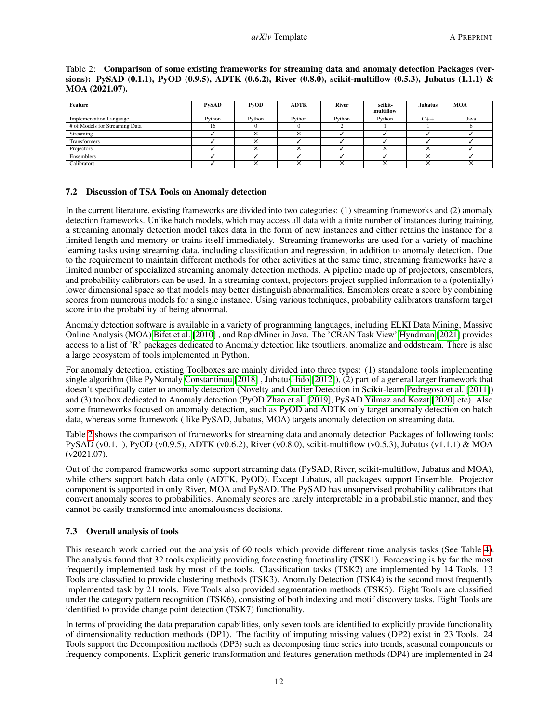| Feature                        | <b>PySAD</b> | P <sub>V</sub> OD | <b>ADTK</b> | River  | scikit-<br>multiflow | <b>Jubatus</b> | <b>MOA</b> |
|--------------------------------|--------------|-------------------|-------------|--------|----------------------|----------------|------------|
| <b>Implementation Language</b> | Python       | Python            | Python      | Python | Python               | $C++$          | Java       |
| # of Models for Streaming Data | 16           |                   |             |        |                      |                |            |
| Streaming                      |              |                   |             |        |                      |                |            |
| <b>Transformers</b>            |              |                   |             |        |                      |                |            |
| Projectors                     |              |                   |             |        |                      |                |            |
| Ensemblers                     |              |                   |             |        |                      |                |            |
| Calibrators                    |              |                   |             | ╰      |                      |                |            |

<span id="page-11-0"></span>Table 2: Comparison of some existing frameworks for streaming data and anomaly detection Packages (versions): PySAD (0.1.1), PyOD (0.9.5), ADTK (0.6.2), River (0.8.0), scikit-multiflow (0.5.3), Jubatus (1.1.1) & MOA (2021.07).

### 7.2 Discussion of TSA Tools on Anomaly detection

In the current literature, existing frameworks are divided into two categories: (1) streaming frameworks and (2) anomaly detection frameworks. Unlike batch models, which may access all data with a finite number of instances during training, a streaming anomaly detection model takes data in the form of new instances and either retains the instance for a limited length and memory or trains itself immediately. Streaming frameworks are used for a variety of machine learning tasks using streaming data, including classification and regression, in addition to anomaly detection. Due to the requirement to maintain different methods for other activities at the same time, streaming frameworks have a limited number of specialized streaming anomaly detection methods. A pipeline made up of projectors, ensemblers, and probability calibrators can be used. In a streaming context, projectors project supplied information to a (potentially) lower dimensional space so that models may better distinguish abnormalities. Ensemblers create a score by combining scores from numerous models for a single instance. Using various techniques, probability calibrators transform target score into the probability of being abnormal.

Anomaly detection software is available in a variety of programming languages, including ELKI Data Mining, Massive Online Analysis (MOA) [Bifet et al.](#page-14-22) [\[2010\]](#page-14-22) , and RapidMiner in Java. The 'CRAN Task View' [Hyndman](#page-15-16) [\[2021\]](#page-15-16) provides access to a list of 'R' packages dedicated to Anomaly detection like tsoutliers, anomalize and oddstream. There is also a large ecosystem of tools implemented in Python.

For anomaly detection, existing Toolboxes are mainly divided into three types: (1) standalone tools implementing single algorithm (like PyNomaly [Constantinou](#page-15-2) [\[2018\]](#page-15-2) , Jubatu[sHido](#page-15-3) [\[2012\]](#page-15-3)), (2) part of a general larger framework that doesn't specifically cater to anomaly detection (Novelty and Outlier Detection in Scikit-learn [Pedregosa et al.](#page-12-8) [\[2011\]](#page-12-8)) and (3) toolbox dedicated to Anomaly detection (PyOD [Zhao et al.](#page-15-0) [\[2019\]](#page-15-0), PySAD [Yilmaz and Kozat](#page-15-8) [\[2020\]](#page-15-8) etc). Also some frameworks focused on anomaly detection, such as PyOD and ADTK only target anomaly detection on batch data, whereas some framework ( like PySAD, Jubatus, MOA) targets anomaly detection on streaming data.

Table [2](#page-11-0) shows the comparison of frameworks for streaming data and anomaly detection Packages of following tools: PySAD (v0.1.1), PyOD (v0.9.5), ADTK (v0.6.2), River (v0.8.0), scikit-multiflow (v0.5.3), Jubatus (v1.1.1) & MOA (v2021.07).

Out of the compared frameworks some support streaming data (PySAD, River, scikit-multiflow, Jubatus and MOA), while others support batch data only (ADTK, PyOD). Except Jubatus, all packages support Ensemble. Projector component is supported in only River, MOA and PySAD. The PySAD has unsupervised probability calibrators that convert anomaly scores to probabilities. Anomaly scores are rarely interpretable in a probabilistic manner, and they cannot be easily transformed into anomalousness decisions.

### 7.3 Overall analysis of tools

This research work carried out the analysis of 60 tools which provide different time analysis tasks (See Table [4\)](#page-19-0). The analysis found that 32 tools explicitly providing forecasting functinality (TSK1). Forecasting is by far the most frequently implemented task by most of the tools. Classification tasks (TSK2) are implemented by 14 Tools. 13 Tools are classsfied to provide clustering methods (TSK3). Anomaly Detection (TSK4) is the second most frequently implemented task by 21 tools. Five Tools also provided segmentation methods (TSK5). Eight Tools are classified under the category pattern recognition (TSK6), consisting of both indexing and motif discovery tasks. Eight Tools are identified to provide change point detection (TSK7) functionality.

In terms of providing the data preparation capabilities, only seven tools are identified to explicitly provide functionality of dimensionality reduction methods (DP1). The facility of imputing missing values (DP2) exist in 23 Tools. 24 Tools support the Decomposition methods (DP3) such as decomposing time series into trends, seasonal components or frequency components. Explicit generic transformation and features generation methods (DP4) are implemented in 24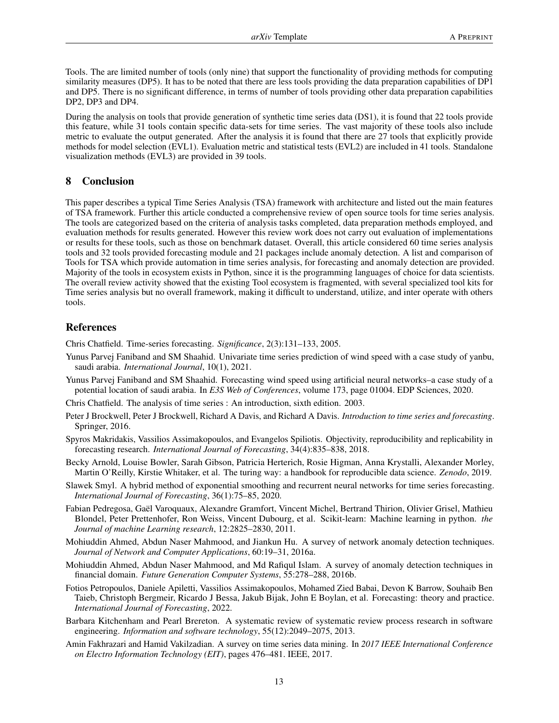Tools. The are limited number of tools (only nine) that support the functionality of providing methods for computing similarity measures (DP5). It has to be noted that there are less tools providing the data preparation capabilities of DP1 and DP5. There is no significant difference, in terms of number of tools providing other data preparation capabilities DP2, DP3 and DP4.

During the analysis on tools that provide generation of synthetic time series data (DS1), it is found that 22 tools provide this feature, while 31 tools contain specific data-sets for time series. The vast majority of these tools also include metric to evaluate the output generated. After the analysis it is found that there are 27 tools that explicitly provide methods for model selection (EVL1). Evaluation metric and statistical tests (EVL2) are included in 41 tools. Standalone visualization methods (EVL3) are provided in 39 tools.

# 8 Conclusion

This paper describes a typical Time Series Analysis (TSA) framework with architecture and listed out the main features of TSA framework. Further this article conducted a comprehensive review of open source tools for time series analysis. The tools are categorized based on the criteria of analysis tasks completed, data preparation methods employed, and evaluation methods for results generated. However this review work does not carry out evaluation of implementations or results for these tools, such as those on benchmark dataset. Overall, this article considered 60 time series analysis tools and 32 tools provided forecasting module and 21 packages include anomaly detection. A list and comparison of Tools for TSA which provide automation in time series analysis, for forecasting and anomaly detection are provided. Majority of the tools in ecosystem exists in Python, since it is the programming languages of choice for data scientists. The overall review activity showed that the existing Tool ecosystem is fragmented, with several specialized tool kits for Time series analysis but no overall framework, making it difficult to understand, utilize, and inter operate with others tools.

# References

<span id="page-12-0"></span>Chris Chatfield. Time-series forecasting. *Significance*, 2(3):131–133, 2005.

- <span id="page-12-1"></span>Yunus Parvej Faniband and SM Shaahid. Univariate time series prediction of wind speed with a case study of yanbu, saudi arabia. *International Journal*, 10(1), 2021.
- <span id="page-12-2"></span>Yunus Parvej Faniband and SM Shaahid. Forecasting wind speed using artificial neural networks–a case study of a potential location of saudi arabia. In *E3S Web of Conferences*, volume 173, page 01004. EDP Sciences, 2020.
- <span id="page-12-3"></span>Chris Chatfield. The analysis of time series : An introduction, sixth edition. 2003.
- <span id="page-12-4"></span>Peter J Brockwell, Peter J Brockwell, Richard A Davis, and Richard A Davis. *Introduction to time series and forecasting*. Springer, 2016.
- <span id="page-12-5"></span>Spyros Makridakis, Vassilios Assimakopoulos, and Evangelos Spiliotis. Objectivity, reproducibility and replicability in forecasting research. *International Journal of Forecasting*, 34(4):835–838, 2018.
- <span id="page-12-6"></span>Becky Arnold, Louise Bowler, Sarah Gibson, Patricia Herterich, Rosie Higman, Anna Krystalli, Alexander Morley, Martin O'Reilly, Kirstie Whitaker, et al. The turing way: a handbook for reproducible data science. *Zenodo*, 2019.
- <span id="page-12-7"></span>Slawek Smyl. A hybrid method of exponential smoothing and recurrent neural networks for time series forecasting. *International Journal of Forecasting*, 36(1):75–85, 2020.
- <span id="page-12-8"></span>Fabian Pedregosa, Gaël Varoquaux, Alexandre Gramfort, Vincent Michel, Bertrand Thirion, Olivier Grisel, Mathieu Blondel, Peter Prettenhofer, Ron Weiss, Vincent Dubourg, et al. Scikit-learn: Machine learning in python. *the Journal of machine Learning research*, 12:2825–2830, 2011.
- <span id="page-12-9"></span>Mohiuddin Ahmed, Abdun Naser Mahmood, and Jiankun Hu. A survey of network anomaly detection techniques. *Journal of Network and Computer Applications*, 60:19–31, 2016a.
- <span id="page-12-10"></span>Mohiuddin Ahmed, Abdun Naser Mahmood, and Md Rafiqul Islam. A survey of anomaly detection techniques in financial domain. *Future Generation Computer Systems*, 55:278–288, 2016b.
- <span id="page-12-11"></span>Fotios Petropoulos, Daniele Apiletti, Vassilios Assimakopoulos, Mohamed Zied Babai, Devon K Barrow, Souhaib Ben Taieb, Christoph Bergmeir, Ricardo J Bessa, Jakub Bijak, John E Boylan, et al. Forecasting: theory and practice. *International Journal of Forecasting*, 2022.
- <span id="page-12-12"></span>Barbara Kitchenham and Pearl Brereton. A systematic review of systematic review process research in software engineering. *Information and software technology*, 55(12):2049–2075, 2013.
- <span id="page-12-13"></span>Amin Fakhrazari and Hamid Vakilzadian. A survey on time series data mining. In *2017 IEEE International Conference on Electro Information Technology (EIT)*, pages 476–481. IEEE, 2017.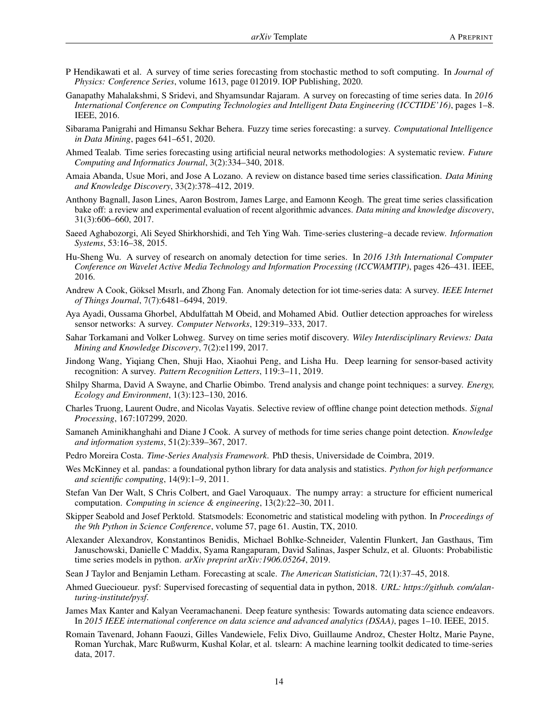- <span id="page-13-0"></span>P Hendikawati et al. A survey of time series forecasting from stochastic method to soft computing. In *Journal of Physics: Conference Series*, volume 1613, page 012019. IOP Publishing, 2020.
- <span id="page-13-1"></span>Ganapathy Mahalakshmi, S Sridevi, and Shyamsundar Rajaram. A survey on forecasting of time series data. In *2016 International Conference on Computing Technologies and Intelligent Data Engineering (ICCTIDE'16)*, pages 1–8. IEEE, 2016.
- <span id="page-13-2"></span>Sibarama Panigrahi and Himansu Sekhar Behera. Fuzzy time series forecasting: a survey. *Computational Intelligence in Data Mining*, pages 641–651, 2020.
- <span id="page-13-3"></span>Ahmed Tealab. Time series forecasting using artificial neural networks methodologies: A systematic review. *Future Computing and Informatics Journal*, 3(2):334–340, 2018.
- <span id="page-13-4"></span>Amaia Abanda, Usue Mori, and Jose A Lozano. A review on distance based time series classification. *Data Mining and Knowledge Discovery*, 33(2):378–412, 2019.
- <span id="page-13-5"></span>Anthony Bagnall, Jason Lines, Aaron Bostrom, James Large, and Eamonn Keogh. The great time series classification bake off: a review and experimental evaluation of recent algorithmic advances. *Data mining and knowledge discovery*, 31(3):606–660, 2017.
- <span id="page-13-6"></span>Saeed Aghabozorgi, Ali Seyed Shirkhorshidi, and Teh Ying Wah. Time-series clustering–a decade review. *Information Systems*, 53:16–38, 2015.
- <span id="page-13-7"></span>Hu-Sheng Wu. A survey of research on anomaly detection for time series. In *2016 13th International Computer Conference on Wavelet Active Media Technology and Information Processing (ICCWAMTIP)*, pages 426–431. IEEE, 2016.
- <span id="page-13-8"></span>Andrew A Cook, Göksel Mısırlı, and Zhong Fan. Anomaly detection for iot time-series data: A survey. *IEEE Internet of Things Journal*, 7(7):6481–6494, 2019.
- <span id="page-13-9"></span>Aya Ayadi, Oussama Ghorbel, Abdulfattah M Obeid, and Mohamed Abid. Outlier detection approaches for wireless sensor networks: A survey. *Computer Networks*, 129:319–333, 2017.
- <span id="page-13-10"></span>Sahar Torkamani and Volker Lohweg. Survey on time series motif discovery. *Wiley Interdisciplinary Reviews: Data Mining and Knowledge Discovery*, 7(2):e1199, 2017.
- <span id="page-13-11"></span>Jindong Wang, Yiqiang Chen, Shuji Hao, Xiaohui Peng, and Lisha Hu. Deep learning for sensor-based activity recognition: A survey. *Pattern Recognition Letters*, 119:3–11, 2019.
- <span id="page-13-12"></span>Shilpy Sharma, David A Swayne, and Charlie Obimbo. Trend analysis and change point techniques: a survey. *Energy, Ecology and Environment*, 1(3):123–130, 2016.
- <span id="page-13-13"></span>Charles Truong, Laurent Oudre, and Nicolas Vayatis. Selective review of offline change point detection methods. *Signal Processing*, 167:107299, 2020.
- <span id="page-13-14"></span>Samaneh Aminikhanghahi and Diane J Cook. A survey of methods for time series change point detection. *Knowledge and information systems*, 51(2):339–367, 2017.
- <span id="page-13-15"></span>Pedro Moreira Costa. *Time-Series Analysis Framework*. PhD thesis, Universidade de Coimbra, 2019.
- <span id="page-13-16"></span>Wes McKinney et al. pandas: a foundational python library for data analysis and statistics. *Python for high performance and scientific computing*, 14(9):1–9, 2011.
- <span id="page-13-17"></span>Stefan Van Der Walt, S Chris Colbert, and Gael Varoquaux. The numpy array: a structure for efficient numerical computation. *Computing in science & engineering*, 13(2):22–30, 2011.
- <span id="page-13-18"></span>Skipper Seabold and Josef Perktold. Statsmodels: Econometric and statistical modeling with python. In *Proceedings of the 9th Python in Science Conference*, volume 57, page 61. Austin, TX, 2010.
- <span id="page-13-19"></span>Alexander Alexandrov, Konstantinos Benidis, Michael Bohlke-Schneider, Valentin Flunkert, Jan Gasthaus, Tim Januschowski, Danielle C Maddix, Syama Rangapuram, David Salinas, Jasper Schulz, et al. Gluonts: Probabilistic time series models in python. *arXiv preprint arXiv:1906.05264*, 2019.
- <span id="page-13-20"></span>Sean J Taylor and Benjamin Letham. Forecasting at scale. *The American Statistician*, 72(1):37–45, 2018.
- <span id="page-13-21"></span>Ahmed Guecioueur. pysf: Supervised forecasting of sequential data in python, 2018. *URL: https://github. com/alanturing-institute/pysf*.
- <span id="page-13-22"></span>James Max Kanter and Kalyan Veeramachaneni. Deep feature synthesis: Towards automating data science endeavors. In *2015 IEEE international conference on data science and advanced analytics (DSAA)*, pages 1–10. IEEE, 2015.
- <span id="page-13-23"></span>Romain Tavenard, Johann Faouzi, Gilles Vandewiele, Felix Divo, Guillaume Androz, Chester Holtz, Marie Payne, Roman Yurchak, Marc Rußwurm, Kushal Kolar, et al. tslearn: A machine learning toolkit dedicated to time-series data, 2017.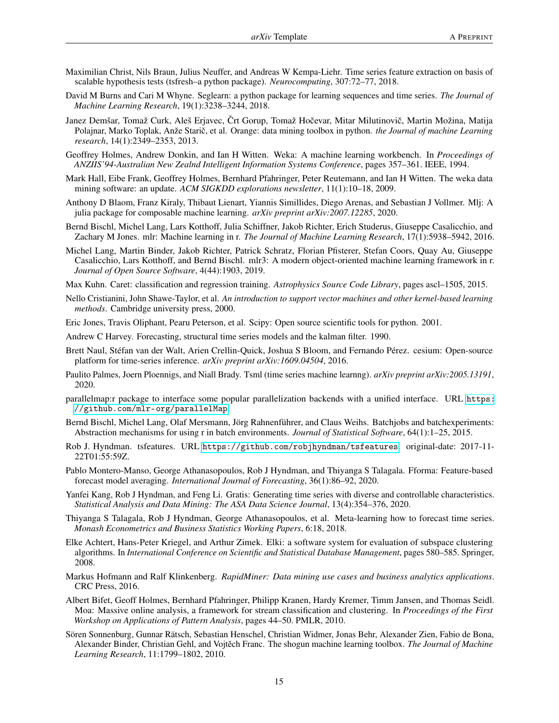- <span id="page-14-0"></span>Maximilian Christ, Nils Braun, Julius Neuffer, and Andreas W Kempa-Liehr. Time series feature extraction on basis of scalable hypothesis tests (tsfresh–a python package). *Neurocomputing*, 307:72–77, 2018.
- <span id="page-14-1"></span>David M Burns and Cari M Whyne. Seglearn: a python package for learning sequences and time series. *The Journal of Machine Learning Research*, 19(1):3238–3244, 2018.
- <span id="page-14-2"></span>Janez Demšar, Tomaž Curk, Aleš Erjavec, Črt Gorup, Tomaž Hočevar, Mitar Milutinovič, Martin Možina, Matija Polajnar, Marko Toplak, Anže Starič, et al. Orange: data mining toolbox in python. the Journal of machine Learning *research*, 14(1):2349–2353, 2013.
- <span id="page-14-3"></span>Geoffrey Holmes, Andrew Donkin, and Ian H Witten. Weka: A machine learning workbench. In *Proceedings of ANZIIS'94-Australian New Zealnd Intelligent Information Systems Conference*, pages 357–361. IEEE, 1994.
- <span id="page-14-4"></span>Mark Hall, Eibe Frank, Geoffrey Holmes, Bernhard Pfahringer, Peter Reutemann, and Ian H Witten. The weka data mining software: an update. *ACM SIGKDD explorations newsletter*, 11(1):10–18, 2009.
- <span id="page-14-5"></span>Anthony D Blaom, Franz Kiraly, Thibaut Lienart, Yiannis Simillides, Diego Arenas, and Sebastian J Vollmer. Mlj: A julia package for composable machine learning. *arXiv preprint arXiv:2007.12285*, 2020.
- <span id="page-14-6"></span>Bernd Bischl, Michel Lang, Lars Kotthoff, Julia Schiffner, Jakob Richter, Erich Studerus, Giuseppe Casalicchio, and Zachary M Jones. mlr: Machine learning in r. *The Journal of Machine Learning Research*, 17(1):5938–5942, 2016.
- <span id="page-14-7"></span>Michel Lang, Martin Binder, Jakob Richter, Patrick Schratz, Florian Pfisterer, Stefan Coors, Quay Au, Giuseppe Casalicchio, Lars Kotthoff, and Bernd Bischl. mlr3: A modern object-oriented machine learning framework in r. *Journal of Open Source Software*, 4(44):1903, 2019.
- <span id="page-14-8"></span>Max Kuhn. Caret: classification and regression training. *Astrophysics Source Code Library*, pages ascl–1505, 2015.
- <span id="page-14-9"></span>Nello Cristianini, John Shawe-Taylor, et al. *An introduction to support vector machines and other kernel-based learning methods*. Cambridge university press, 2000.
- <span id="page-14-10"></span>Eric Jones, Travis Oliphant, Pearu Peterson, et al. Scipy: Open source scientific tools for python. 2001.
- <span id="page-14-11"></span>Andrew C Harvey. Forecasting, structural time series models and the kalman filter. 1990.
- <span id="page-14-12"></span>Brett Naul, Stéfan van der Walt, Arien Crellin-Quick, Joshua S Bloom, and Fernando Pérez. cesium: Open-source platform for time-series inference. *arXiv preprint arXiv:1609.04504*, 2016.
- <span id="page-14-13"></span>Paulito Palmes, Joern Ploennigs, and Niall Brady. Tsml (time series machine learnng). *arXiv preprint arXiv:2005.13191*, 2020.
- <span id="page-14-14"></span>parallelmap:r package to interface some popular parallelization backends with a unified interface. URL [https:](https://github.com/mlr-org/parallelMap) [//github.com/mlr-org/parallelMap](https://github.com/mlr-org/parallelMap).
- <span id="page-14-15"></span>Bernd Bischl, Michel Lang, Olaf Mersmann, Jörg Rahnenführer, and Claus Weihs. Batchjobs and batchexperiments: Abstraction mechanisms for using r in batch environments. *Journal of Statistical Software*, 64(1):1–25, 2015.
- <span id="page-14-16"></span>Rob J. Hyndman. tsfeatures. URL <https://github.com/robjhyndman/tsfeatures>. original-date: 2017-11- 22T01:55:59Z.
- <span id="page-14-17"></span>Pablo Montero-Manso, George Athanasopoulos, Rob J Hyndman, and Thiyanga S Talagala. Fforma: Feature-based forecast model averaging. *International Journal of Forecasting*, 36(1):86–92, 2020.
- <span id="page-14-18"></span>Yanfei Kang, Rob J Hyndman, and Feng Li. Gratis: Generating time series with diverse and controllable characteristics. *Statistical Analysis and Data Mining: The ASA Data Science Journal*, 13(4):354–376, 2020.
- <span id="page-14-19"></span>Thiyanga S Talagala, Rob J Hyndman, George Athanasopoulos, et al. Meta-learning how to forecast time series. *Monash Econometrics and Business Statistics Working Papers*, 6:18, 2018.
- <span id="page-14-20"></span>Elke Achtert, Hans-Peter Kriegel, and Arthur Zimek. Elki: a software system for evaluation of subspace clustering algorithms. In *International Conference on Scientific and Statistical Database Management*, pages 580–585. Springer, 2008.
- <span id="page-14-21"></span>Markus Hofmann and Ralf Klinkenberg. *RapidMiner: Data mining use cases and business analytics applications*. CRC Press, 2016.
- <span id="page-14-22"></span>Albert Bifet, Geoff Holmes, Bernhard Pfahringer, Philipp Kranen, Hardy Kremer, Timm Jansen, and Thomas Seidl. Moa: Massive online analysis, a framework for stream classification and clustering. In *Proceedings of the First Workshop on Applications of Pattern Analysis*, pages 44–50. PMLR, 2010.
- <span id="page-14-23"></span>Sören Sonnenburg, Gunnar Rätsch, Sebastian Henschel, Christian Widmer, Jonas Behr, Alexander Zien, Fabio de Bona, Alexander Binder, Christian Gehl, and Vojtech Franc. The shogun machine learning toolbox. ˇ *The Journal of Machine Learning Research*, 11:1799–1802, 2010.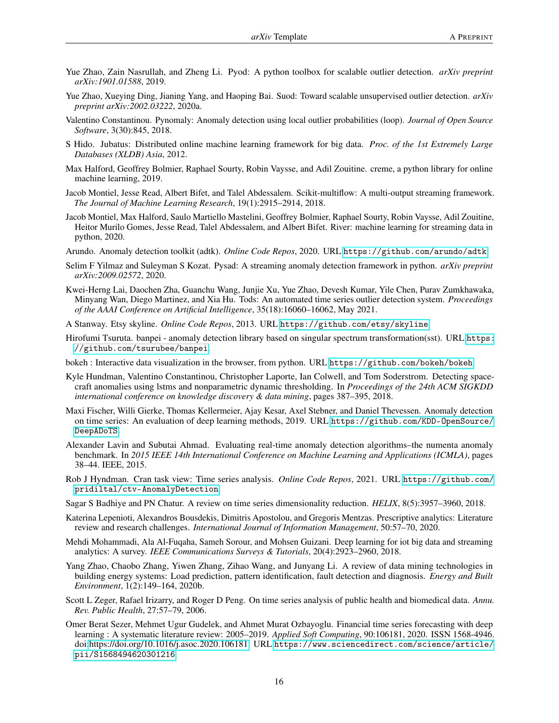- <span id="page-15-0"></span>Yue Zhao, Zain Nasrullah, and Zheng Li. Pyod: A python toolbox for scalable outlier detection. *arXiv preprint arXiv:1901.01588*, 2019.
- <span id="page-15-1"></span>Yue Zhao, Xueying Ding, Jianing Yang, and Haoping Bai. Suod: Toward scalable unsupervised outlier detection. *arXiv preprint arXiv:2002.03222*, 2020a.
- <span id="page-15-2"></span>Valentino Constantinou. Pynomaly: Anomaly detection using local outlier probabilities (loop). *Journal of Open Source Software*, 3(30):845, 2018.
- <span id="page-15-3"></span>S Hido. Jubatus: Distributed online machine learning framework for big data. *Proc. of the 1st Extremely Large Databases (XLDB) Asia*, 2012.
- <span id="page-15-4"></span>Max Halford, Geoffrey Bolmier, Raphael Sourty, Robin Vaysse, and Adil Zouitine. creme, a python library for online machine learning, 2019.
- <span id="page-15-5"></span>Jacob Montiel, Jesse Read, Albert Bifet, and Talel Abdessalem. Scikit-multiflow: A multi-output streaming framework. *The Journal of Machine Learning Research*, 19(1):2915–2914, 2018.
- <span id="page-15-6"></span>Jacob Montiel, Max Halford, Saulo Martiello Mastelini, Geoffrey Bolmier, Raphael Sourty, Robin Vaysse, Adil Zouitine, Heitor Murilo Gomes, Jesse Read, Talel Abdessalem, and Albert Bifet. River: machine learning for streaming data in python, 2020.
- <span id="page-15-7"></span>Arundo. Anomaly detection toolkit (adtk). *Online Code Repos*, 2020. URL <https://github.com/arundo/adtk>.
- <span id="page-15-8"></span>Selim F Yilmaz and Suleyman S Kozat. Pysad: A streaming anomaly detection framework in python. *arXiv preprint arXiv:2009.02572*, 2020.
- <span id="page-15-9"></span>Kwei-Herng Lai, Daochen Zha, Guanchu Wang, Junjie Xu, Yue Zhao, Devesh Kumar, Yile Chen, Purav Zumkhawaka, Minyang Wan, Diego Martinez, and Xia Hu. Tods: An automated time series outlier detection system. *Proceedings of the AAAI Conference on Artificial Intelligence*, 35(18):16060–16062, May 2021.
- <span id="page-15-10"></span>A Stanway. Etsy skyline. *Online Code Repos*, 2013. URL <https://github.com/etsy/skyline>.
- <span id="page-15-11"></span>Hirofumi Tsuruta. banpei - anomaly detection library based on singular spectrum transformation(sst). URL [https:](https://github.com/tsurubee/banpei) [//github.com/tsurubee/banpei](https://github.com/tsurubee/banpei).
- <span id="page-15-12"></span>bokeh : Interactive data visualization in the browser, from python. URL <https://github.com/bokeh/bokeh>.
- <span id="page-15-13"></span>Kyle Hundman, Valentino Constantinou, Christopher Laporte, Ian Colwell, and Tom Soderstrom. Detecting spacecraft anomalies using lstms and nonparametric dynamic thresholding. In *Proceedings of the 24th ACM SIGKDD international conference on knowledge discovery & data mining*, pages 387–395, 2018.
- <span id="page-15-14"></span>Maxi Fischer, Willi Gierke, Thomas Kellermeier, Ajay Kesar, Axel Stebner, and Daniel Thevessen. Anomaly detection on time series: An evaluation of deep learning methods, 2019. URL [https://github.com/KDD-OpenSource/](https://github.com/KDD-OpenSource/DeepADoTS) [DeepADoTS](https://github.com/KDD-OpenSource/DeepADoTS).
- <span id="page-15-15"></span>Alexander Lavin and Subutai Ahmad. Evaluating real-time anomaly detection algorithms–the numenta anomaly benchmark. In *2015 IEEE 14th International Conference on Machine Learning and Applications (ICMLA)*, pages 38–44. IEEE, 2015.
- <span id="page-15-16"></span>Rob J Hyndman. Cran task view: Time series analysis. *Online Code Repos*, 2021. URL [https://github.com/](https://github.com/pridiltal/ctv-AnomalyDetection) [pridiltal/ctv-AnomalyDetection](https://github.com/pridiltal/ctv-AnomalyDetection).
- <span id="page-15-17"></span>Sagar S Badhiye and PN Chatur. A review on time series dimensionality reduction. *HELIX*, 8(5):3957–3960, 2018.
- <span id="page-15-18"></span>Katerina Lepenioti, Alexandros Bousdekis, Dimitris Apostolou, and Gregoris Mentzas. Prescriptive analytics: Literature review and research challenges. *International Journal of Information Management*, 50:57–70, 2020.
- <span id="page-15-19"></span>Mehdi Mohammadi, Ala Al-Fuqaha, Sameh Sorour, and Mohsen Guizani. Deep learning for iot big data and streaming analytics: A survey. *IEEE Communications Surveys & Tutorials*, 20(4):2923–2960, 2018.
- <span id="page-15-20"></span>Yang Zhao, Chaobo Zhang, Yiwen Zhang, Zihao Wang, and Junyang Li. A review of data mining technologies in building energy systems: Load prediction, pattern identification, fault detection and diagnosis. *Energy and Built Environment*, 1(2):149–164, 2020b.
- <span id="page-15-21"></span>Scott L Zeger, Rafael Irizarry, and Roger D Peng. On time series analysis of public health and biomedical data. *Annu. Rev. Public Health*, 27:57–79, 2006.
- <span id="page-15-22"></span>Omer Berat Sezer, Mehmet Ugur Gudelek, and Ahmet Murat Ozbayoglu. Financial time series forecasting with deep learning : A systematic literature review: 2005–2019. *Applied Soft Computing*, 90:106181, 2020. ISSN 1568-4946. doi[:https://doi.org/10.1016/j.asoc.2020.106181.](https://doi.org/https://doi.org/10.1016/j.asoc.2020.106181) URL [https://www.sciencedirect.com/science/article/](https://www.sciencedirect.com/science/article/pii/S1568494620301216) [pii/S1568494620301216](https://www.sciencedirect.com/science/article/pii/S1568494620301216).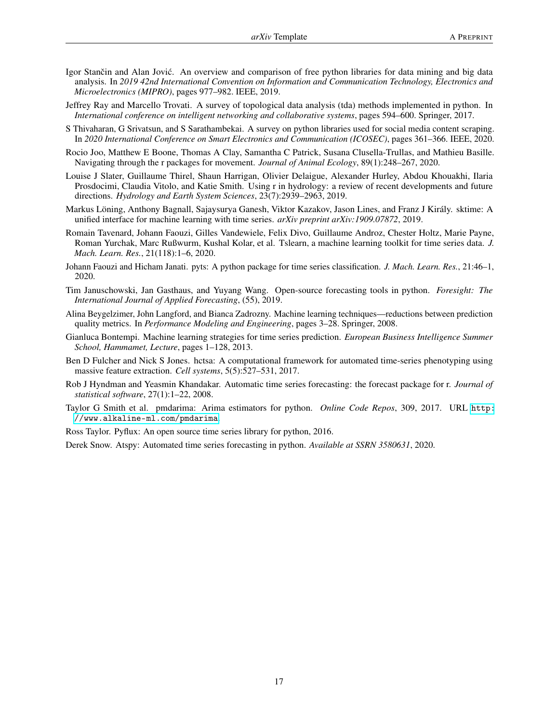- <span id="page-16-0"></span>Igor Stančin and Alan Jović. An overview and comparison of free python libraries for data mining and big data analysis. In *2019 42nd International Convention on Information and Communication Technology, Electronics and Microelectronics (MIPRO)*, pages 977–982. IEEE, 2019.
- <span id="page-16-1"></span>Jeffrey Ray and Marcello Trovati. A survey of topological data analysis (tda) methods implemented in python. In *International conference on intelligent networking and collaborative systems*, pages 594–600. Springer, 2017.
- <span id="page-16-2"></span>S Thivaharan, G Srivatsun, and S Sarathambekai. A survey on python libraries used for social media content scraping. In *2020 International Conference on Smart Electronics and Communication (ICOSEC)*, pages 361–366. IEEE, 2020.
- <span id="page-16-3"></span>Rocio Joo, Matthew E Boone, Thomas A Clay, Samantha C Patrick, Susana Clusella-Trullas, and Mathieu Basille. Navigating through the r packages for movement. *Journal of Animal Ecology*, 89(1):248–267, 2020.
- <span id="page-16-4"></span>Louise J Slater, Guillaume Thirel, Shaun Harrigan, Olivier Delaigue, Alexander Hurley, Abdou Khouakhi, Ilaria Prosdocimi, Claudia Vitolo, and Katie Smith. Using r in hydrology: a review of recent developments and future directions. *Hydrology and Earth System Sciences*, 23(7):2939–2963, 2019.
- <span id="page-16-5"></span>Markus Löning, Anthony Bagnall, Sajaysurya Ganesh, Viktor Kazakov, Jason Lines, and Franz J Király. sktime: A unified interface for machine learning with time series. *arXiv preprint arXiv:1909.07872*, 2019.
- <span id="page-16-6"></span>Romain Tavenard, Johann Faouzi, Gilles Vandewiele, Felix Divo, Guillaume Androz, Chester Holtz, Marie Payne, Roman Yurchak, Marc Rußwurm, Kushal Kolar, et al. Tslearn, a machine learning toolkit for time series data. *J. Mach. Learn. Res.*, 21(118):1–6, 2020.
- <span id="page-16-7"></span>Johann Faouzi and Hicham Janati. pyts: A python package for time series classification. *J. Mach. Learn. Res.*, 21:46–1, 2020.
- <span id="page-16-8"></span>Tim Januschowski, Jan Gasthaus, and Yuyang Wang. Open-source forecasting tools in python. *Foresight: The International Journal of Applied Forecasting*, (55), 2019.
- <span id="page-16-9"></span>Alina Beygelzimer, John Langford, and Bianca Zadrozny. Machine learning techniques—reductions between prediction quality metrics. In *Performance Modeling and Engineering*, pages 3–28. Springer, 2008.
- <span id="page-16-10"></span>Gianluca Bontempi. Machine learning strategies for time series prediction. *European Business Intelligence Summer School, Hammamet, Lecture*, pages 1–128, 2013.
- <span id="page-16-11"></span>Ben D Fulcher and Nick S Jones. hctsa: A computational framework for automated time-series phenotyping using massive feature extraction. *Cell systems*, 5(5):527–531, 2017.
- <span id="page-16-12"></span>Rob J Hyndman and Yeasmin Khandakar. Automatic time series forecasting: the forecast package for r. *Journal of statistical software*, 27(1):1–22, 2008.
- <span id="page-16-13"></span>Taylor G Smith et al. pmdarima: Arima estimators for python. *Online Code Repos*, 309, 2017. URL [http:](http://www.alkaline-ml.com/pmdarima) [//www.alkaline-ml.com/pmdarima](http://www.alkaline-ml.com/pmdarima).
- <span id="page-16-14"></span>Ross Taylor. Pyflux: An open source time series library for python, 2016.
- <span id="page-16-15"></span>Derek Snow. Atspy: Automated time series forecasting in python. *Available at SSRN 3580631*, 2020.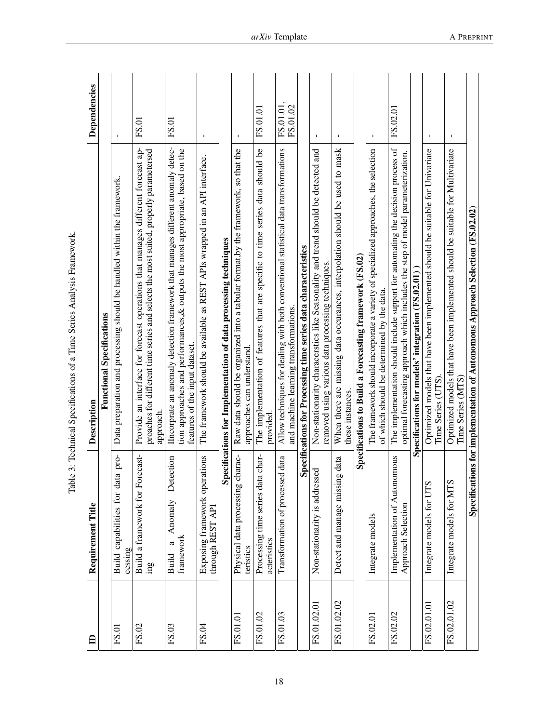<span id="page-17-0"></span>Table 3: Technical Specifications of a Time Series Analysis Framework. Table 3: Technical Specifications of a Time Series Analysis Framework.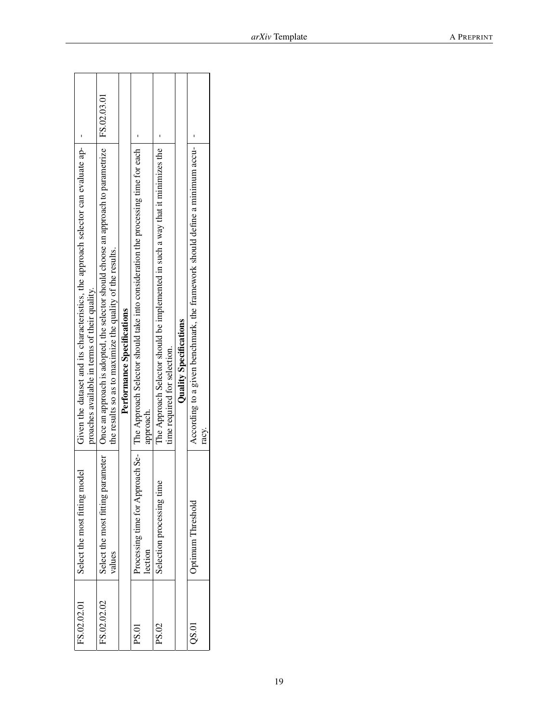| Given the dataset and its characteristics, the approach selector can evaluate ap-<br>proaches available in terms of their quality. | Once an approach is adopted, the selector should choose an approach to parametrize   FS.02.03.01<br>the results so as to maximize the quality of the results. | Performance Specifications | Processing time for Approach Se-   The Approach Selector should take into consideration the processing time for each<br>approach. | The Approach Selector should be implemented in such a way that it minimizes the<br>time required for selection. | <b>Quality Specifications</b> | According to a given benchmark, the framework should define a minimum accu-<br>racy. |  |
|------------------------------------------------------------------------------------------------------------------------------------|---------------------------------------------------------------------------------------------------------------------------------------------------------------|----------------------------|-----------------------------------------------------------------------------------------------------------------------------------|-----------------------------------------------------------------------------------------------------------------|-------------------------------|--------------------------------------------------------------------------------------|--|
| odel<br>Select the most fitting mc                                                                                                 | Select the most fitting parameter<br>values                                                                                                                   |                            | lection                                                                                                                           | Selection processing time                                                                                       |                               | Optimum Threshold                                                                    |  |
| FS.02.02.01                                                                                                                        | FS.02.02.02                                                                                                                                                   |                            | <b>PS.01</b>                                                                                                                      | PS.02                                                                                                           |                               | QS.01                                                                                |  |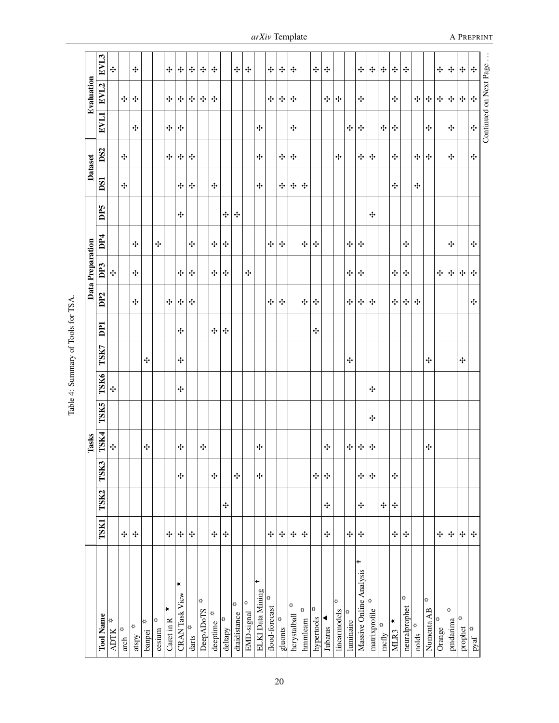|                                    |               |        |        | Tasks  |      |      |      |                 |                 | Data Preparation |                 |     |            | Dataset |                        | Evaluation |                |
|------------------------------------|---------------|--------|--------|--------|------|------|------|-----------------|-----------------|------------------|-----------------|-----|------------|---------|------------------------|------------|----------------|
| <b>Tool Name</b>                   | <b>TSK1</b>   | TSK2   | TSK3   | TSK4   | TSK5 | TSK6 | TSK7 | DP <sub>1</sub> | DP <sub>2</sub> | DP3              | DP <sub>4</sub> | DP5 | <b>DS1</b> | DS2     | <b>EVL1</b>            | EVL2       | EVL3           |
| ♦<br><b>ADTK</b>                   |               |        |        | ÷      |      | ÷    |      |                 |                 | ÷                |                 |     |            |         |                        |            | ÷              |
| ♦<br>arch                          | $\cdot \cdot$ |        |        |        |      |      |      |                 |                 |                  |                 |     | ÷          | ÷       |                        | ÷          |                |
| ♦<br>atspy                         | ÷             |        |        |        |      |      |      |                 | ÷               | ÷                | ÷               |     |            |         | ÷                      | ÷          | ÷              |
| ∛<br>banpei                        |               |        |        | ÷      |      |      | ÷    |                 |                 |                  |                 |     |            |         |                        |            |                |
| ∣≎<br>cesium                       |               |        |        |        |      |      |      |                 |                 |                  | ÷               |     |            |         |                        |            |                |
| ∗<br>Caret in R                    | ÷             |        |        |        |      |      |      |                 | ÷               |                  |                 |     |            | ÷       | ÷                      | ÷          | ÷              |
| ∣∗<br><b>CRAN Task View</b>        | ÷             |        | ÷      | ÷      |      | ÷    | ÷    | ÷               | ÷               | ÷                |                 | ÷   | ÷          | ÷       | ÷                      | ÷          | ÷              |
| ø<br>darts                         | ÷             |        |        |        |      |      |      |                 | ÷               | ÷                | ÷               |     | ÷          | ÷       |                        | ÷          | ÷              |
| ♦<br>DeepADoTS                     |               |        |        | ÷      |      |      |      |                 |                 |                  |                 |     |            |         |                        | ÷          | ÷              |
| ₫<br>deeptime                      | ÷             |        | $\div$ |        |      |      |      | ÷               |                 | ÷                | ÷               |     | ÷          |         |                        | ÷          | ÷              |
| ₿<br>deltapy                       | ÷             | ÷      |        |        |      |      |      | ÷               |                 | ÷                | ÷               | ÷   |            |         |                        |            |                |
| ♦<br>dtaidistance                  |               |        | ÷      |        |      |      |      |                 |                 |                  |                 | ÷   |            |         |                        |            | ÷              |
| ♦<br>EMD-signal                    |               |        |        |        |      |      |      |                 |                 | ÷                |                 |     |            |         |                        |            | ÷              |
| ÷<br>ELKI Data Mining              |               |        | ÷      | ÷      |      |      |      |                 |                 |                  |                 |     | ÷          | ÷       | ÷                      |            |                |
| ₿<br>flood-forecast                | ÷             |        |        |        |      |      |      |                 | ÷               |                  | ÷               |     |            |         |                        | ÷          | ÷              |
| ♦<br>gluonts                       | ÷             |        |        |        |      |      |      |                 | ÷               |                  | ÷               |     | ÷          | ÷       |                        | ÷          | ÷              |
| ♦<br>hcrystalball                  | ÷             |        |        |        |      |      |      |                 |                 |                  |                 |     | ÷          | ÷       | ÷                      | ÷          | ÷              |
| ♦<br>hmmlearn                      | ÷             |        |        |        |      |      |      |                 | ÷               |                  | ÷               |     | ÷          |         |                        |            |                |
| ♦<br>hypertools                    |               |        | ÷      |        |      |      |      | ÷               | ÷               |                  | ÷               |     |            |         |                        |            | ÷              |
| Jubatus                            | ÷             | ÷      | ÷      | ÷      |      |      |      |                 |                 |                  |                 |     |            |         |                        | ÷          | ÷              |
| ⋫<br>linearmodels                  |               |        |        |        |      |      |      |                 |                 |                  |                 |     |            | ÷       |                        | ÷          |                |
| luminaire <sup>*</sup>             | ÷             |        |        | ÷      |      |      | ÷    |                 | ÷               | ÷                | ÷               |     |            |         | ÷                      |            |                |
| Massive Online Analysis            | ÷             | ÷      | ÷      | $\div$ |      |      |      |                 | ÷               | ÷                | ÷               |     |            | ÷       | ÷                      | ÷          | ÷              |
| matrixprofile $\overline{\varphi}$ |               |        | ÷      | ÷      | ÷    | ÷    |      |                 | ÷               |                  |                 | ÷   |            | ÷       |                        |            | ÷              |
| ♦<br>mcfly                         |               | $\div$ |        |        |      |      |      |                 |                 |                  |                 |     |            |         | ÷                      |            | ÷              |
| ∗<br>MLR3                          | ÷             | ÷      | ÷      |        |      |      |      |                 | ÷               | ÷                |                 |     | ÷          | ÷       | ÷                      | ÷          | ÷              |
| ♦<br>neuralprophet                 | ÷             |        |        |        |      |      |      |                 | ÷               | ÷                | ÷               |     |            |         |                        |            | ÷              |
| nolds $\Phi$                       |               |        |        |        |      |      |      |                 | ÷               |                  |                 |     | ÷          | ÷       |                        | ÷          |                |
| ኞ<br>Numenta AB                    |               |        |        | ÷      |      |      | ÷    |                 |                 |                  |                 |     |            | ÷       | ÷                      | ÷          |                |
| ₿<br>Orange                        | ÷             |        |        |        |      |      |      |                 |                 | ÷                |                 |     |            |         |                        | ÷          | ÷              |
| ₿<br>pmdarima                      | ÷             |        |        |        |      |      |      |                 |                 | ÷                | ÷               |     |            | ÷       | ÷                      | ÷          | ÷              |
| ⇔<br>prophet                       | ÷             |        |        |        |      |      | ÷    |                 |                 | ÷                |                 |     |            |         |                        | ÷          | ÷              |
| $-$ pyaf                           | ÷             |        |        |        |      |      |      |                 | ÷               | ÷                | ÷               |     |            | ÷       | ÷                      | ÷          | ÷              |
|                                    |               |        |        |        |      |      |      |                 |                 |                  |                 |     |            |         | Continued on Next Page |            | $\ddot{\cdot}$ |

Table 4: Summary of Tools for TSA. Table 4: Summary of Tools for TSA.

<span id="page-19-0"></span>*arXiv* Template A PREPRINT